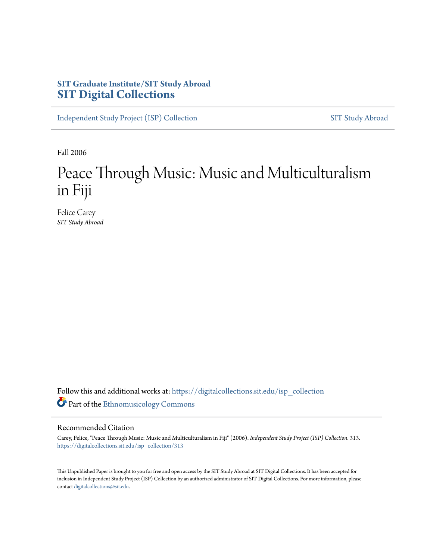## **SIT Graduate Institute/SIT Study Abroad [SIT Digital Collections](https://digitalcollections.sit.edu?utm_source=digitalcollections.sit.edu%2Fisp_collection%2F313&utm_medium=PDF&utm_campaign=PDFCoverPages)**

[Independent Study Project \(ISP\) Collection](https://digitalcollections.sit.edu/isp_collection?utm_source=digitalcollections.sit.edu%2Fisp_collection%2F313&utm_medium=PDF&utm_campaign=PDFCoverPages) [SIT Study Abroad](https://digitalcollections.sit.edu/study_abroad?utm_source=digitalcollections.sit.edu%2Fisp_collection%2F313&utm_medium=PDF&utm_campaign=PDFCoverPages)

Fall 2006

# Peace Through Music: Music and Multiculturalism in Fiji

Felice Carey *SIT Study Abroad*

Follow this and additional works at: [https://digitalcollections.sit.edu/isp\\_collection](https://digitalcollections.sit.edu/isp_collection?utm_source=digitalcollections.sit.edu%2Fisp_collection%2F313&utm_medium=PDF&utm_campaign=PDFCoverPages) Part of the [Ethnomusicology Commons](http://network.bepress.com/hgg/discipline/520?utm_source=digitalcollections.sit.edu%2Fisp_collection%2F313&utm_medium=PDF&utm_campaign=PDFCoverPages)

#### Recommended Citation

Carey, Felice, "Peace Through Music: Music and Multiculturalism in Fiji" (2006). *Independent Study Project (ISP) Collection*. 313. [https://digitalcollections.sit.edu/isp\\_collection/313](https://digitalcollections.sit.edu/isp_collection/313?utm_source=digitalcollections.sit.edu%2Fisp_collection%2F313&utm_medium=PDF&utm_campaign=PDFCoverPages)

This Unpublished Paper is brought to you for free and open access by the SIT Study Abroad at SIT Digital Collections. It has been accepted for inclusion in Independent Study Project (ISP) Collection by an authorized administrator of SIT Digital Collections. For more information, please contact [digitalcollections@sit.edu](mailto:digitalcollections@sit.edu).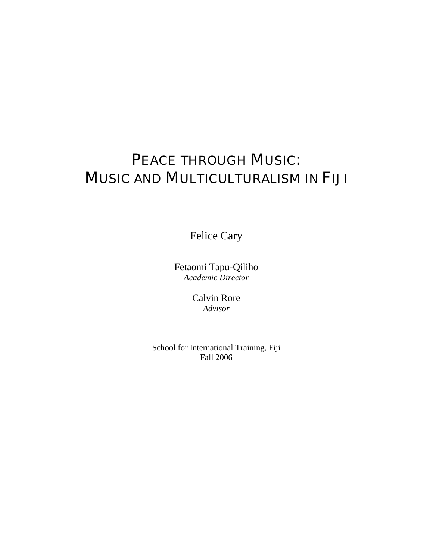# PEACE THROUGH MUSIC: MUSIC AND MULTICULTURALISM IN FIJI

Felice Cary

Fetaomi Tapu-Qiliho *Academic Director* 

> Calvin Rore *Advisor*

School for International Training, Fiji Fall 2006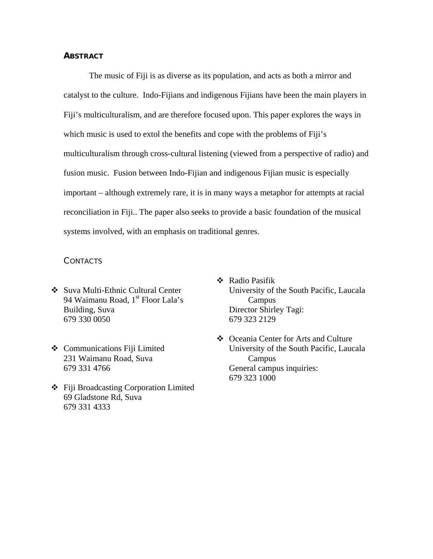#### **ABSTRACT**

 The music of Fiji is as diverse as its population, and acts as both a mirror and catalyst to the culture. Indo-Fijians and indigenous Fijians have been the main players in Fiji's multiculturalism, and are therefore focused upon. This paper explores the ways in which music is used to extol the benefits and cope with the problems of Fiji's multiculturalism through cross-cultural listening (viewed from a perspective of radio) and fusion music. Fusion between Indo-Fijian and indigenous Fijian music is especially important – although extremely rare, it is in many ways a metaphor for attempts at racial reconciliation in Fiji.. The paper also seeks to provide a basic foundation of the musical systems involved, with an emphasis on traditional genres.

#### CONTACTS

- Suva Multi-Ethnic Cultural Center 94 Waimanu Road, 1<sup>st</sup> Floor Lala's Building, Suva 679 330 0050
- Communications Fiji Limited 231 Waimanu Road, Suva 679 331 4766
- Fiji Broadcasting Corporation Limited 69 Gladstone Rd, Suva 679 331 4333
- Radio Pasifik University of the South Pacific, Laucala Campus Director Shirley Tagi: 679 323 2129
- Oceania Center for Arts and Culture University of the South Pacific, Laucala Campus General campus inquiries: 679 323 1000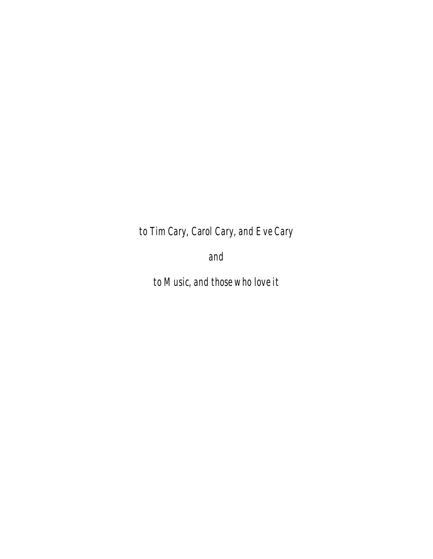*to Tim Cary, Carol Cary, and Eve Cary* 

*and* 

*to Music, and those who love it*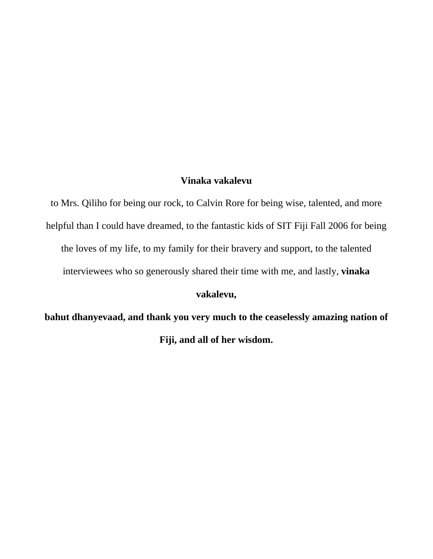## **Vinaka vakalevu**

to Mrs. Qiliho for being our rock, to Calvin Rore for being wise, talented, and more helpful than I could have dreamed, to the fantastic kids of SIT Fiji Fall 2006 for being the loves of my life, to my family for their bravery and support, to the talented interviewees who so generously shared their time with me, and lastly, **vinaka** 

## **vakalevu,**

**bahut dhanyevaad, and thank you very much to the ceaselessly amazing nation of Fiji, and all of her wisdom.**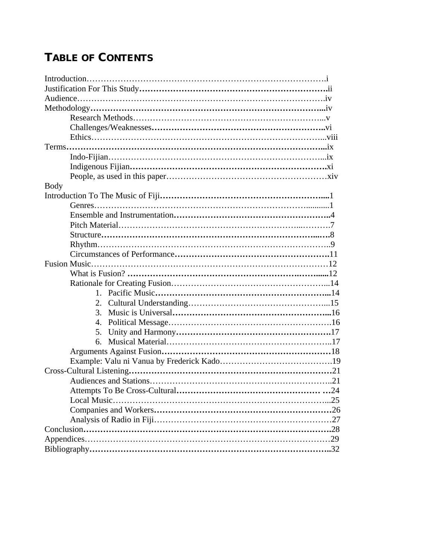## **TABLE OF CONTENTS**

| <b>Body</b>                 |
|-----------------------------|
|                             |
|                             |
|                             |
|                             |
|                             |
|                             |
|                             |
|                             |
|                             |
|                             |
|                             |
|                             |
| $\mathcal{R}_{\mathcal{C}}$ |
| $\mathbf{4}_{\cdot}$        |
| 5.                          |
|                             |
|                             |
|                             |
|                             |
|                             |
|                             |
|                             |
|                             |
|                             |
|                             |
|                             |
|                             |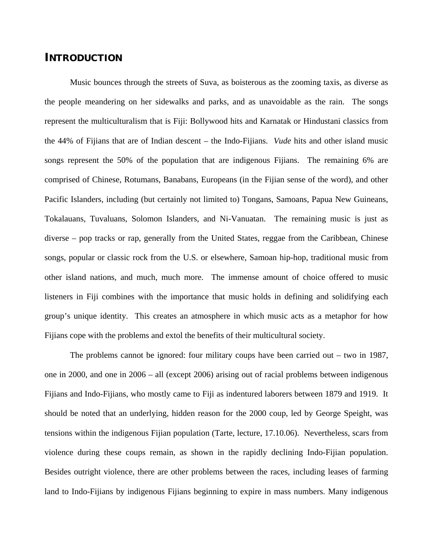## **INTRODUCTION**

Music bounces through the streets of Suva, as boisterous as the zooming taxis, as diverse as the people meandering on her sidewalks and parks, and as unavoidable as the rain. The songs represent the multiculturalism that is Fiji: Bollywood hits and Karnatak or Hindustani classics from the 44% of Fijians that are of Indian descent – the Indo-Fijians. *Vude* hits and other island music songs represent the 50% of the population that are indigenous Fijians. The remaining 6% are comprised of Chinese, Rotumans, Banabans, Europeans (in the Fijian sense of the word), and other Pacific Islanders, including (but certainly not limited to) Tongans, Samoans, Papua New Guineans, Tokalauans, Tuvaluans, Solomon Islanders, and Ni-Vanuatan. The remaining music is just as diverse – pop tracks or rap, generally from the United States, reggae from the Caribbean, Chinese songs, popular or classic rock from the U.S. or elsewhere, Samoan hip-hop, traditional music from other island nations, and much, much more. The immense amount of choice offered to music listeners in Fiji combines with the importance that music holds in defining and solidifying each group's unique identity. This creates an atmosphere in which music acts as a metaphor for how Fijians cope with the problems and extol the benefits of their multicultural society.

The problems cannot be ignored: four military coups have been carried out – two in 1987, one in 2000, and one in 2006 – all (except 2006) arising out of racial problems between indigenous Fijians and Indo-Fijians, who mostly came to Fiji as indentured laborers between 1879 and 1919. It should be noted that an underlying, hidden reason for the 2000 coup, led by George Speight, was tensions within the indigenous Fijian population (Tarte, lecture, 17.10.06). Nevertheless, scars from violence during these coups remain, as shown in the rapidly declining Indo-Fijian population. Besides outright violence, there are other problems between the races, including leases of farming land to Indo-Fijians by indigenous Fijians beginning to expire in mass numbers. Many indigenous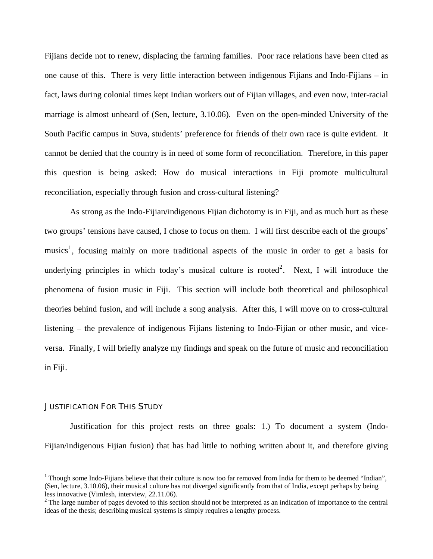Fijians decide not to renew, displacing the farming families. Poor race relations have been cited as one cause of this. There is very little interaction between indigenous Fijians and Indo-Fijians – in fact, laws during colonial times kept Indian workers out of Fijian villages, and even now, inter-racial marriage is almost unheard of (Sen, lecture, 3.10.06). Even on the open-minded University of the South Pacific campus in Suva, students' preference for friends of their own race is quite evident. It cannot be denied that the country is in need of some form of reconciliation. Therefore, in this paper this question is being asked: How do musical interactions in Fiji promote multicultural reconciliation, especially through fusion and cross-cultural listening?

As strong as the Indo-Fijian/indigenous Fijian dichotomy is in Fiji, and as much hurt as these two groups' tensions have caused, I chose to focus on them. I will first describe each of the groups' musics<sup>[1](#page-7-0)</sup>, focusing mainly on more traditional aspects of the music in order to get a basis for underlying principles in which today's musical culture is rooted<sup>[2](#page-7-1)</sup>. Next, I will introduce the phenomena of fusion music in Fiji. This section will include both theoretical and philosophical theories behind fusion, and will include a song analysis. After this, I will move on to cross-cultural listening – the prevalence of indigenous Fijians listening to Indo-Fijian or other music, and viceversa. Finally, I will briefly analyze my findings and speak on the future of music and reconciliation in Fiji.

#### JUSTIFICATION FOR THIS STUDY

 $\overline{a}$ 

 Justification for this project rests on three goals: 1.) To document a system (Indo-Fijian/indigenous Fijian fusion) that has had little to nothing written about it, and therefore giving

<span id="page-7-0"></span><sup>&</sup>lt;sup>1</sup> Though some Indo-Fijians believe that their culture is now too far removed from India for them to be deemed "Indian", (Sen, lecture, 3.10.06), their musical culture has not diverged significantly from that of India, except perhaps by being less innovative (Vimlesh, interview, 22.11.06).

<span id="page-7-1"></span> $2^2$  The large number of pages devoted to this section should not be interpreted as an indication of importance to the central ideas of the thesis; describing musical systems is simply requires a lengthy process.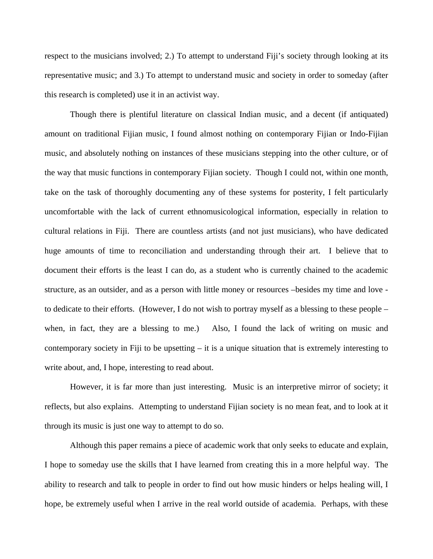respect to the musicians involved; 2.) To attempt to understand Fiji's society through looking at its representative music; and 3.) To attempt to understand music and society in order to someday (after this research is completed) use it in an activist way.

 Though there is plentiful literature on classical Indian music, and a decent (if antiquated) amount on traditional Fijian music, I found almost nothing on contemporary Fijian or Indo-Fijian music, and absolutely nothing on instances of these musicians stepping into the other culture, or of the way that music functions in contemporary Fijian society. Though I could not, within one month, take on the task of thoroughly documenting any of these systems for posterity, I felt particularly uncomfortable with the lack of current ethnomusicological information, especially in relation to cultural relations in Fiji. There are countless artists (and not just musicians), who have dedicated huge amounts of time to reconciliation and understanding through their art. I believe that to document their efforts is the least I can do, as a student who is currently chained to the academic structure, as an outsider, and as a person with little money or resources –besides my time and love to dedicate to their efforts. (However, I do not wish to portray myself as a blessing to these people – when, in fact, they are a blessing to me.) Also, I found the lack of writing on music and contemporary society in Fiji to be upsetting  $-$  it is a unique situation that is extremely interesting to write about, and, I hope, interesting to read about.

 However, it is far more than just interesting. Music is an interpretive mirror of society; it reflects, but also explains. Attempting to understand Fijian society is no mean feat, and to look at it through its music is just one way to attempt to do so.

 Although this paper remains a piece of academic work that only seeks to educate and explain, I hope to someday use the skills that I have learned from creating this in a more helpful way. The ability to research and talk to people in order to find out how music hinders or helps healing will, I hope, be extremely useful when I arrive in the real world outside of academia. Perhaps, with these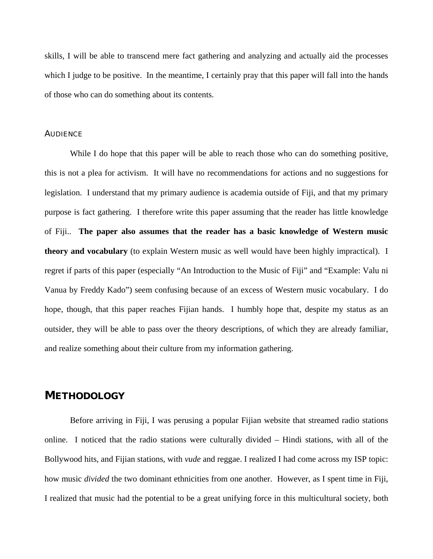skills, I will be able to transcend mere fact gathering and analyzing and actually aid the processes which I judge to be positive. In the meantime, I certainly pray that this paper will fall into the hands of those who can do something about its contents.

#### AUDIENCE

While I do hope that this paper will be able to reach those who can do something positive, this is not a plea for activism. It will have no recommendations for actions and no suggestions for legislation. I understand that my primary audience is academia outside of Fiji, and that my primary purpose is fact gathering. I therefore write this paper assuming that the reader has little knowledge of Fiji.. **The paper also assumes that the reader has a basic knowledge of Western music theory and vocabulary** (to explain Western music as well would have been highly impractical). I regret if parts of this paper (especially "An Introduction to the Music of Fiji" and "Example: Valu ni Vanua by Freddy Kado") seem confusing because of an excess of Western music vocabulary. I do hope, though, that this paper reaches Fijian hands. I humbly hope that, despite my status as an outsider, they will be able to pass over the theory descriptions, of which they are already familiar, and realize something about their culture from my information gathering.

## **METHODOLOGY**

 Before arriving in Fiji, I was perusing a popular Fijian website that streamed radio stations online. I noticed that the radio stations were culturally divided – Hindi stations, with all of the Bollywood hits, and Fijian stations, with *vude* and reggae. I realized I had come across my ISP topic: how music *divided* the two dominant ethnicities from one another. However, as I spent time in Fiji, I realized that music had the potential to be a great unifying force in this multicultural society, both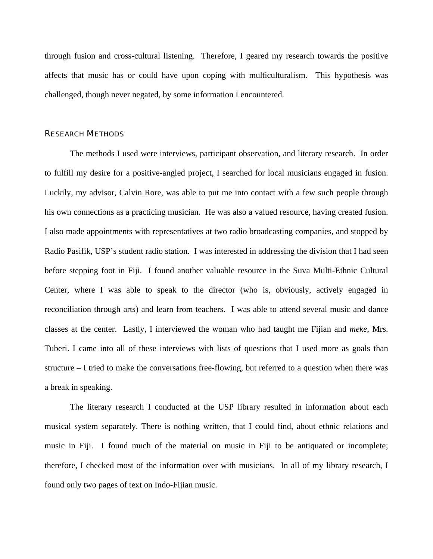through fusion and cross-cultural listening. Therefore, I geared my research towards the positive affects that music has or could have upon coping with multiculturalism. This hypothesis was challenged, though never negated, by some information I encountered.

#### RESEARCH METHODS

 The methods I used were interviews, participant observation, and literary research. In order to fulfill my desire for a positive-angled project, I searched for local musicians engaged in fusion. Luckily, my advisor, Calvin Rore, was able to put me into contact with a few such people through his own connections as a practicing musician. He was also a valued resource, having created fusion. I also made appointments with representatives at two radio broadcasting companies, and stopped by Radio Pasifik, USP's student radio station. I was interested in addressing the division that I had seen before stepping foot in Fiji. I found another valuable resource in the Suva Multi-Ethnic Cultural Center, where I was able to speak to the director (who is, obviously, actively engaged in reconciliation through arts) and learn from teachers. I was able to attend several music and dance classes at the center. Lastly, I interviewed the woman who had taught me Fijian and *meke*, Mrs. Tuberi. I came into all of these interviews with lists of questions that I used more as goals than structure – I tried to make the conversations free-flowing, but referred to a question when there was a break in speaking.

The literary research I conducted at the USP library resulted in information about each musical system separately. There is nothing written, that I could find, about ethnic relations and music in Fiji. I found much of the material on music in Fiji to be antiquated or incomplete; therefore, I checked most of the information over with musicians. In all of my library research, I found only two pages of text on Indo-Fijian music.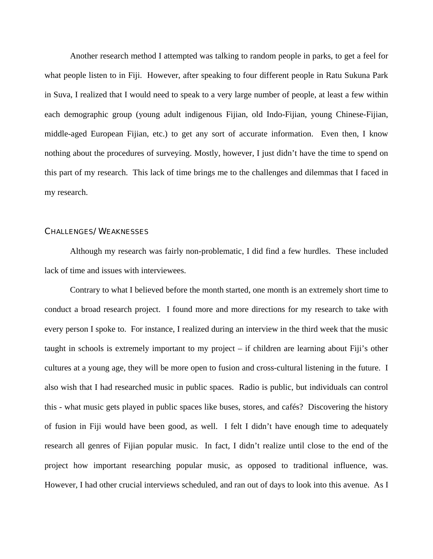Another research method I attempted was talking to random people in parks, to get a feel for what people listen to in Fiji. However, after speaking to four different people in Ratu Sukuna Park in Suva, I realized that I would need to speak to a very large number of people, at least a few within each demographic group (young adult indigenous Fijian, old Indo-Fijian, young Chinese-Fijian, middle-aged European Fijian, etc.) to get any sort of accurate information. Even then, I know nothing about the procedures of surveying. Mostly, however, I just didn't have the time to spend on this part of my research. This lack of time brings me to the challenges and dilemmas that I faced in my research.

#### CHALLENGES/WEAKNESSES

 Although my research was fairly non-problematic, I did find a few hurdles. These included lack of time and issues with interviewees.

Contrary to what I believed before the month started, one month is an extremely short time to conduct a broad research project. I found more and more directions for my research to take with every person I spoke to. For instance, I realized during an interview in the third week that the music taught in schools is extremely important to my project – if children are learning about Fiji's other cultures at a young age, they will be more open to fusion and cross-cultural listening in the future. I also wish that I had researched music in public spaces. Radio is public, but individuals can control this - what music gets played in public spaces like buses, stores, and cafés? Discovering the history of fusion in Fiji would have been good, as well. I felt I didn't have enough time to adequately research all genres of Fijian popular music. In fact, I didn't realize until close to the end of the project how important researching popular music, as opposed to traditional influence, was. However, I had other crucial interviews scheduled, and ran out of days to look into this avenue. As I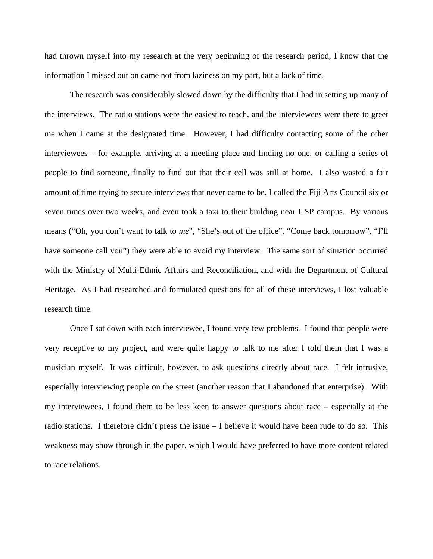had thrown myself into my research at the very beginning of the research period, I know that the information I missed out on came not from laziness on my part, but a lack of time.

The research was considerably slowed down by the difficulty that I had in setting up many of the interviews. The radio stations were the easiest to reach, and the interviewees were there to greet me when I came at the designated time. However, I had difficulty contacting some of the other interviewees – for example, arriving at a meeting place and finding no one, or calling a series of people to find someone, finally to find out that their cell was still at home. I also wasted a fair amount of time trying to secure interviews that never came to be. I called the Fiji Arts Council six or seven times over two weeks, and even took a taxi to their building near USP campus. By various means ("Oh, you don't want to talk to *me*", "She's out of the office", "Come back tomorrow", "I'll have someone call you") they were able to avoid my interview. The same sort of situation occurred with the Ministry of Multi-Ethnic Affairs and Reconciliation, and with the Department of Cultural Heritage. As I had researched and formulated questions for all of these interviews, I lost valuable research time.

Once I sat down with each interviewee, I found very few problems. I found that people were very receptive to my project, and were quite happy to talk to me after I told them that I was a musician myself. It was difficult, however, to ask questions directly about race. I felt intrusive, especially interviewing people on the street (another reason that I abandoned that enterprise). With my interviewees, I found them to be less keen to answer questions about race – especially at the radio stations. I therefore didn't press the issue – I believe it would have been rude to do so. This weakness may show through in the paper, which I would have preferred to have more content related to race relations.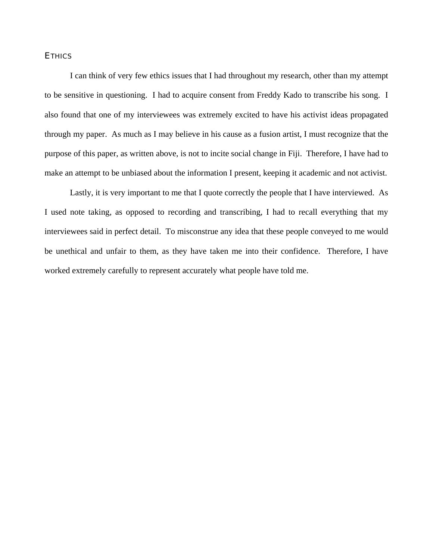#### **ETHICS**

 I can think of very few ethics issues that I had throughout my research, other than my attempt to be sensitive in questioning. I had to acquire consent from Freddy Kado to transcribe his song. I also found that one of my interviewees was extremely excited to have his activist ideas propagated through my paper. As much as I may believe in his cause as a fusion artist, I must recognize that the purpose of this paper, as written above, is not to incite social change in Fiji. Therefore, I have had to make an attempt to be unbiased about the information I present, keeping it academic and not activist.

 Lastly, it is very important to me that I quote correctly the people that I have interviewed. As I used note taking, as opposed to recording and transcribing, I had to recall everything that my interviewees said in perfect detail. To misconstrue any idea that these people conveyed to me would be unethical and unfair to them, as they have taken me into their confidence. Therefore, I have worked extremely carefully to represent accurately what people have told me.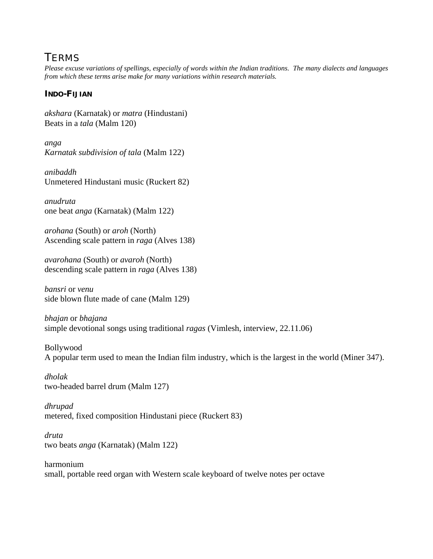## TERMS

*Please excuse variations of spellings, especially of words within the Indian traditions. The many dialects and languages from which these terms arise make for many variations within research materials.* 

## **INDO-FIJIAN**

*akshara* (Karnatak) or *matra* (Hindustani) Beats in a *tala* (Malm 120)

*anga Karnatak subdivision of tala* (Malm 122)

*anibaddh* Unmetered Hindustani music (Ruckert 82)

*anudruta* one beat *anga* (Karnatak) (Malm 122)

*arohana* (South) or *aroh* (North) Ascending scale pattern in *raga* (Alves 138)

*avarohana* (South) or *avaroh* (North) descending scale pattern in *raga* (Alves 138)

*bansri* or *venu* side blown flute made of cane (Malm 129)

*bhajan* or *bhajana*  simple devotional songs using traditional *ragas* (Vimlesh, interview, 22.11.06)

Bollywood A popular term used to mean the Indian film industry, which is the largest in the world (Miner 347).

*dholak*  two-headed barrel drum (Malm 127)

*dhrupad* metered, fixed composition Hindustani piece (Ruckert 83)

*druta* two beats *anga* (Karnatak) (Malm 122)

harmonium small, portable reed organ with Western scale keyboard of twelve notes per octave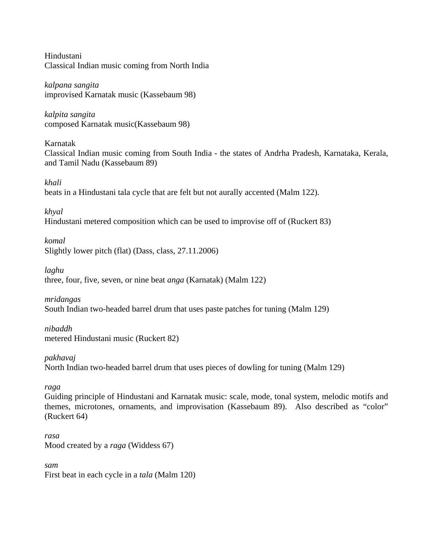Hindustani Classical Indian music coming from North India

*kalpana sangita*  improvised Karnatak music (Kassebaum 98)

*kalpita sangita* composed Karnatak music(Kassebaum 98)

Karnatak Classical Indian music coming from South India - the states of Andrha Pradesh, Karnataka, Kerala, and Tamil Nadu (Kassebaum 89)

*khali* beats in a Hindustani tala cycle that are felt but not aurally accented (Malm 122).

*khyal* Hindustani metered composition which can be used to improvise off of (Ruckert 83)

*komal*  Slightly lower pitch (flat) (Dass, class, 27.11.2006)

*laghu* three, four, five, seven, or nine beat *anga* (Karnatak) (Malm 122)

*mridangas*  South Indian two-headed barrel drum that uses paste patches for tuning (Malm 129)

*nibaddh* metered Hindustani music (Ruckert 82)

*pakhavaj*  North Indian two-headed barrel drum that uses pieces of dowling for tuning (Malm 129)

*raga* 

Guiding principle of Hindustani and Karnatak music: scale, mode, tonal system, melodic motifs and themes, microtones, ornaments, and improvisation (Kassebaum 89). Also described as "color" (Ruckert 64)

*rasa*  Mood created by a *raga* (Widdess 67)

*sam*  First beat in each cycle in a *tala* (Malm 120)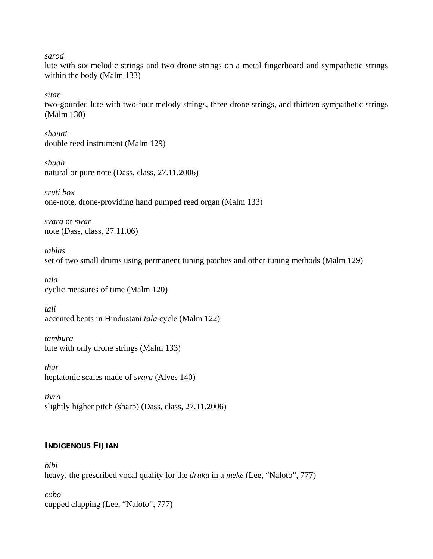*sarod* 

lute with six melodic strings and two drone strings on a metal fingerboard and sympathetic strings within the body (Malm 133)

*sitar* 

two-gourded lute with two-four melody strings, three drone strings, and thirteen sympathetic strings (Malm 130)

*shanai* double reed instrument (Malm 129)

*shudh* natural or pure note (Dass, class, 27.11.2006)

*sruti box*  one-note, drone-providing hand pumped reed organ (Malm 133)

*svara* or *swar*  note (Dass, class, 27.11.06)

*tablas* set of two small drums using permanent tuning patches and other tuning methods (Malm 129)

*tala*  cyclic measures of time (Malm 120)

*tali*  accented beats in Hindustani *tala* cycle (Malm 122)

*tambura* lute with only drone strings (Malm 133)

*that*  heptatonic scales made of *svara* (Alves 140)

*tivra* slightly higher pitch (sharp) (Dass, class, 27.11.2006)

## **INDIGENOUS FIJIAN**

*bibi* heavy, the prescribed vocal quality for the *druku* in a *meke* (Lee, "Naloto", 777)

*cobo* cupped clapping (Lee, "Naloto", 777)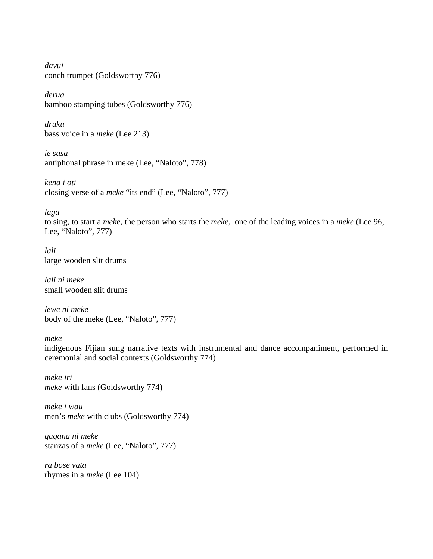*davui* conch trumpet (Goldsworthy 776)

*derua* bamboo stamping tubes (Goldsworthy 776)

*druku*  bass voice in a *meke* (Lee 213)

*ie sasa* antiphonal phrase in meke (Lee, "Naloto", 778)

*kena i oti* closing verse of a *meke* "its end" (Lee, "Naloto", 777)

*laga* 

to sing, to start a *meke*, the person who starts the *meke,* one of the leading voices in a *meke* (Lee 96, Lee, "Naloto", 777)

*lali*  large wooden slit drums

*lali ni meke*  small wooden slit drums

*lewe ni meke* body of the meke (Lee, "Naloto", 777)

*meke* 

indigenous Fijian sung narrative texts with instrumental and dance accompaniment, performed in ceremonial and social contexts (Goldsworthy 774)

*meke iri meke* with fans (Goldsworthy 774)

*meke i wau* men's *meke* with clubs (Goldsworthy 774)

*qaqana ni meke*  stanzas of a *meke* (Lee, "Naloto", 777)

*ra bose vata* rhymes in a *meke* (Lee 104)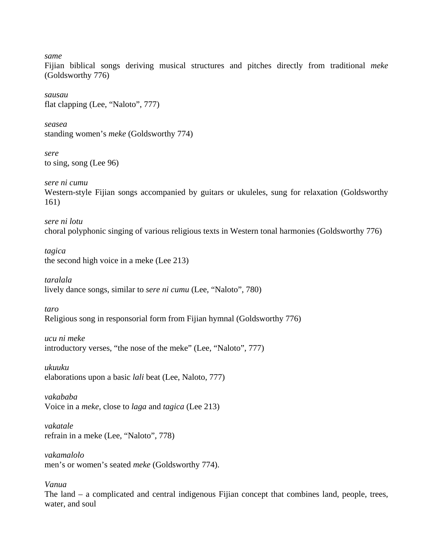*same*

Fijian biblical songs deriving musical structures and pitches directly from traditional *meke* (Goldsworthy 776)

*sausau* flat clapping (Lee, "Naloto", 777)

*seasea* standing women's *meke* (Goldsworthy 774)

*sere*  to sing, song (Lee 96)

*sere ni cumu*  Western-style Fijian songs accompanied by guitars or ukuleles, sung for relaxation (Goldsworthy 161)

*sere ni lotu* choral polyphonic singing of various religious texts in Western tonal harmonies (Goldsworthy 776)

*tagica*  the second high voice in a meke (Lee 213)

*taralala*  lively dance songs, similar to *sere ni cumu* (Lee, "Naloto", 780)

*taro*  Religious song in responsorial form from Fijian hymnal (Goldsworthy 776)

*ucu ni meke* introductory verses, "the nose of the meke" (Lee, "Naloto", 777)

*ukuuku*  elaborations upon a basic *lali* beat (Lee, Naloto, 777)

*vakababa*  Voice in a *meke*, close to *laga* and *tagica* (Lee 213)

*vakatale* refrain in a meke (Lee, "Naloto", 778)

*vakamalolo* men's or women's seated *meke* (Goldsworthy 774).

*Vanua* 

The land – a complicated and central indigenous Fijian concept that combines land, people, trees, water, and soul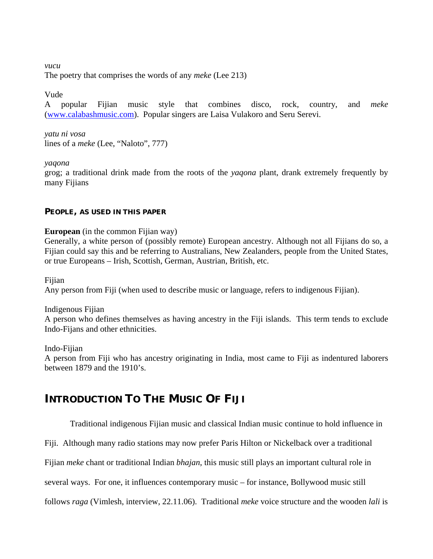*vucu*  The poetry that comprises the words of any *meke* (Lee 213)

Vude

A popular Fijian music style that combines disco, rock, country, and *meke* ([www.calabashmusic.com\)](http://www.calabashmusic.com/). Popular singers are Laisa Vulakoro and Seru Serevi.

*yatu ni vosa* lines of a *meke* (Lee, "Naloto", 777)

*yaqona* 

grog; a traditional drink made from the roots of the *yaqona* plant, drank extremely frequently by many Fijians

#### **PEOPLE, AS USED IN THIS PAPER**

**European** (in the common Fijian way)

Generally, a white person of (possibly remote) European ancestry. Although not all Fijians do so, a Fijian could say this and be referring to Australians, New Zealanders, people from the United States, or true Europeans – Irish, Scottish, German, Austrian, British, etc.

Fijian

Any person from Fiji (when used to describe music or language, refers to indigenous Fijian).

Indigenous Fijian

A person who defines themselves as having ancestry in the Fiji islands. This term tends to exclude Indo-Fijans and other ethnicities.

Indo-Fijian

A person from Fiji who has ancestry originating in India, most came to Fiji as indentured laborers between 1879 and the 1910's.

## **INTRODUCTION TO THE MUSIC OF FIJI**

Traditional indigenous Fijian music and classical Indian music continue to hold influence in

Fiji. Although many radio stations may now prefer Paris Hilton or Nickelback over a traditional

Fijian *meke* chant or traditional Indian *bhajan*, this music still plays an important cultural role in

several ways. For one, it influences contemporary music – for instance, Bollywood music still

follows *raga* (Vimlesh, interview, 22.11.06). Traditional *meke* voice structure and the wooden *lali* is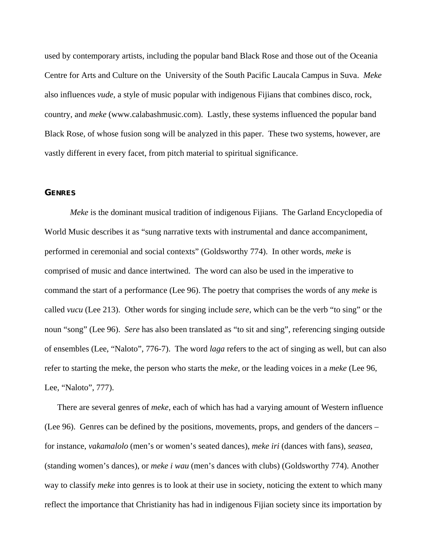used by contemporary artists, including the popular band Black Rose and those out of the Oceania Centre for Arts and Culture on the University of the South Pacific Laucala Campus in Suva. *Meke* also influences *vude*, a style of music popular with indigenous Fijians that combines disco, rock, country, and *meke* (www.calabashmusic.com). Lastly, these systems influenced the popular band Black Rose, of whose fusion song will be analyzed in this paper. These two systems, however, are vastly different in every facet, from pitch material to spiritual significance.

#### **GENRES**

*Meke* is the dominant musical tradition of indigenous Fijians. The Garland Encyclopedia of World Music describes it as "sung narrative texts with instrumental and dance accompaniment, performed in ceremonial and social contexts" (Goldsworthy 774). In other words, *meke* is comprised of music and dance intertwined. The word can also be used in the imperative to command the start of a performance (Lee 96). The poetry that comprises the words of any *meke* is called *vucu* (Lee 213). Other words for singing include *sere*, which can be the verb "to sing" or the noun "song" (Lee 96). *Sere* has also been translated as "to sit and sing", referencing singing outside of ensembles (Lee, "Naloto", 776-7). The word *laga* refers to the act of singing as well, but can also refer to starting the meke, the person who starts the *meke,* or the leading voices in a *meke* (Lee 96, Lee, "Naloto", 777).

There are several genres of *meke*, each of which has had a varying amount of Western influence (Lee 96). Genres can be defined by the positions, movements, props, and genders of the dancers – for instance, *vakamalolo* (men's or women's seated dances), *meke iri* (dances with fans), *seasea*, (standing women's dances), or *meke i wau* (men's dances with clubs) (Goldsworthy 774). Another way to classify *meke* into genres is to look at their use in society, noticing the extent to which many reflect the importance that Christianity has had in indigenous Fijian society since its importation by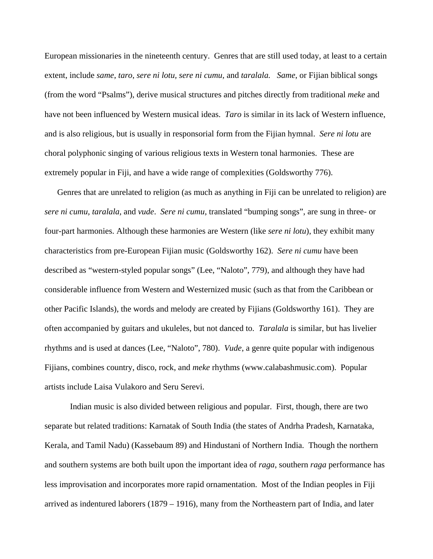European missionaries in the nineteenth century. Genres that are still used today, at least to a certain extent, include *same*, *taro*, *sere ni lotu, sere ni cumu,* and *taralala. Same*, or Fijian biblical songs (from the word "Psalms"), derive musical structures and pitches directly from traditional *meke* and have not been influenced by Western musical ideas. *Taro* is similar in its lack of Western influence, and is also religious, but is usually in responsorial form from the Fijian hymnal. *Sere ni lotu* are choral polyphonic singing of various religious texts in Western tonal harmonies. These are extremely popular in Fiji, and have a wide range of complexities (Goldsworthy 776).

Genres that are unrelated to religion (as much as anything in Fiji can be unrelated to religion) are *sere ni cumu, taralala,* and *vude*. *Sere ni cumu*, translated "bumping songs", are sung in three- or four-part harmonies. Although these harmonies are Western (like *sere ni lotu*), they exhibit many characteristics from pre-European Fijian music (Goldsworthy 162). *Sere ni cumu* have been described as "western-styled popular songs" (Lee, "Naloto", 779), and although they have had considerable influence from Western and Westernized music (such as that from the Caribbean or other Pacific Islands), the words and melody are created by Fijians (Goldsworthy 161). They are often accompanied by guitars and ukuleles, but not danced to. *Taralala* is similar, but has livelier rhythms and is used at dances (Lee, "Naloto", 780). *Vude*, a genre quite popular with indigenous Fijians, combines country, disco, rock, and *meke* rhythms (www.calabashmusic.com). Popular artists include Laisa Vulakoro and Seru Serevi.

Indian music is also divided between religious and popular. First, though, there are two separate but related traditions: Karnatak of South India (the states of Andrha Pradesh, Karnataka, Kerala, and Tamil Nadu) (Kassebaum 89) and Hindustani of Northern India. Though the northern and southern systems are both built upon the important idea of *raga*, southern *raga* performance has less improvisation and incorporates more rapid ornamentation. Most of the Indian peoples in Fiji arrived as indentured laborers (1879 – 1916), many from the Northeastern part of India, and later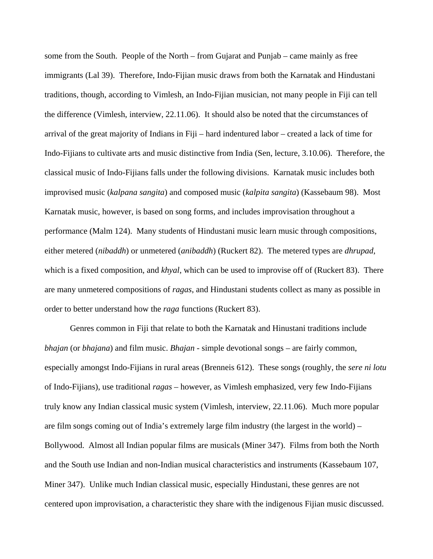some from the South. People of the North – from Gujarat and Punjab – came mainly as free immigrants (Lal 39). Therefore, Indo-Fijian music draws from both the Karnatak and Hindustani traditions, though, according to Vimlesh, an Indo-Fijian musician, not many people in Fiji can tell the difference (Vimlesh, interview, 22.11.06). It should also be noted that the circumstances of arrival of the great majority of Indians in Fiji – hard indentured labor – created a lack of time for Indo-Fijians to cultivate arts and music distinctive from India (Sen, lecture, 3.10.06). Therefore, the classical music of Indo-Fijians falls under the following divisions. Karnatak music includes both improvised music (*kalpana sangita*) and composed music (*kalpita sangita*) (Kassebaum 98). Most Karnatak music, however, is based on song forms, and includes improvisation throughout a performance (Malm 124). Many students of Hindustani music learn music through compositions, either metered (*nibaddh*) or unmetered (*anibaddh*) (Ruckert 82). The metered types are *dhrupad*, which is a fixed composition, and *khyal*, which can be used to improvise off of (Ruckert 83). There are many unmetered compositions of *ragas*, and Hindustani students collect as many as possible in order to better understand how the *raga* functions (Ruckert 83).

Genres common in Fiji that relate to both the Karnatak and Hinustani traditions include *bhajan* (or *bhajana*) and film music. *Bhajan* - simple devotional songs – are fairly common, especially amongst Indo-Fijians in rural areas (Brenneis 612). These songs (roughly, the *sere ni lotu* of Indo-Fijians), use traditional *ragas* – however, as Vimlesh emphasized, very few Indo-Fijians truly know any Indian classical music system (Vimlesh, interview, 22.11.06). Much more popular are film songs coming out of India's extremely large film industry (the largest in the world) – Bollywood. Almost all Indian popular films are musicals (Miner 347). Films from both the North and the South use Indian and non-Indian musical characteristics and instruments (Kassebaum 107, Miner 347). Unlike much Indian classical music, especially Hindustani, these genres are not centered upon improvisation, a characteristic they share with the indigenous Fijian music discussed.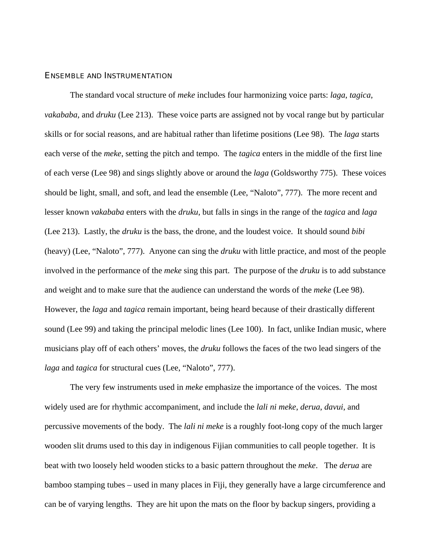#### ENSEMBLE AND INSTRUMENTATION

 The standard vocal structure of *meke* includes four harmonizing voice parts: *laga*, *tagica*, *vakababa*, and *druku* (Lee 213). These voice parts are assigned not by vocal range but by particular skills or for social reasons, and are habitual rather than lifetime positions (Lee 98). The *laga* starts each verse of the *meke*, setting the pitch and tempo. The *tagica* enters in the middle of the first line of each verse (Lee 98) and sings slightly above or around the *laga* (Goldsworthy 775). These voices should be light, small, and soft, and lead the ensemble (Lee, "Naloto", 777). The more recent and lesser known *vakababa* enters with the *druku*, but falls in sings in the range of the *tagica* and *laga* (Lee 213). Lastly, the *druku* is the bass, the drone, and the loudest voice. It should sound *bibi* (heavy) (Lee, "Naloto", 777). Anyone can sing the *druku* with little practice, and most of the people involved in the performance of the *meke* sing this part. The purpose of the *druku* is to add substance and weight and to make sure that the audience can understand the words of the *meke* (Lee 98). However, the *laga* and *tagica* remain important, being heard because of their drastically different sound (Lee 99) and taking the principal melodic lines (Lee 100). In fact, unlike Indian music, where musicians play off of each others' moves, the *druku* follows the faces of the two lead singers of the *laga* and *tagica* for structural cues (Lee, "Naloto", 777).

 The very few instruments used in *meke* emphasize the importance of the voices. The most widely used are for rhythmic accompaniment, and include the *lali ni meke*, *derua*, *davui*, and percussive movements of the body. The *lali ni meke* is a roughly foot-long copy of the much larger wooden slit drums used to this day in indigenous Fijian communities to call people together. It is beat with two loosely held wooden sticks to a basic pattern throughout the *meke*. The *derua* are bamboo stamping tubes – used in many places in Fiji, they generally have a large circumference and can be of varying lengths. They are hit upon the mats on the floor by backup singers, providing a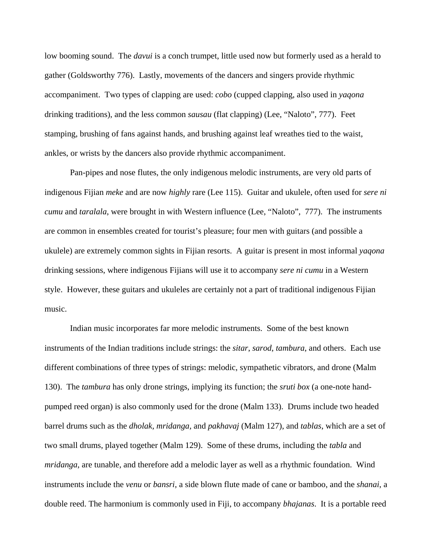low booming sound. The *davui* is a conch trumpet, little used now but formerly used as a herald to gather (Goldsworthy 776). Lastly, movements of the dancers and singers provide rhythmic accompaniment. Two types of clapping are used: *cobo* (cupped clapping, also used in *yaqona* drinking traditions), and the less common *sausau* (flat clapping) (Lee, "Naloto", 777). Feet stamping, brushing of fans against hands, and brushing against leaf wreathes tied to the waist, ankles, or wrists by the dancers also provide rhythmic accompaniment.

 Pan-pipes and nose flutes, the only indigenous melodic instruments, are very old parts of indigenous Fijian *meke* and are now *highly* rare (Lee 115). Guitar and ukulele, often used for *sere ni cumu* and *taralala*, were brought in with Western influence (Lee, "Naloto", 777). The instruments are common in ensembles created for tourist's pleasure; four men with guitars (and possible a ukulele) are extremely common sights in Fijian resorts. A guitar is present in most informal *yaqona* drinking sessions, where indigenous Fijians will use it to accompany *sere ni cumu* in a Western style. However, these guitars and ukuleles are certainly not a part of traditional indigenous Fijian music.

 Indian music incorporates far more melodic instruments. Some of the best known instruments of the Indian traditions include strings: the *sitar*, *sarod*, *tambura*, and others. Each use different combinations of three types of strings: melodic, sympathetic vibrators, and drone (Malm 130). The *tambura* has only drone strings, implying its function; the *sruti box* (a one-note handpumped reed organ) is also commonly used for the drone (Malm 133). Drums include two headed barrel drums such as the *dholak, mridanga,* and *pakhavaj* (Malm 127), and *tablas*, which are a set of two small drums, played together (Malm 129). Some of these drums, including the *tabla* and *mridanga*, are tunable, and therefore add a melodic layer as well as a rhythmic foundation. Wind instruments include the *venu* or *bansri*, a side blown flute made of cane or bamboo, and the *shanai*, a double reed. The harmonium is commonly used in Fiji, to accompany *bhajanas*. It is a portable reed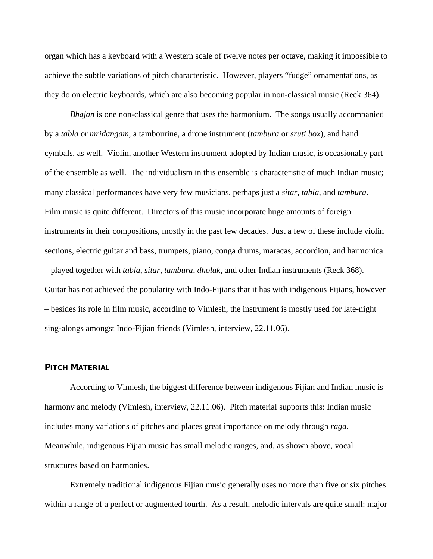organ which has a keyboard with a Western scale of twelve notes per octave, making it impossible to achieve the subtle variations of pitch characteristic. However, players "fudge" ornamentations, as they do on electric keyboards, which are also becoming popular in non-classical music (Reck 364).

*Bhajan* is one non-classical genre that uses the harmonium. The songs usually accompanied by a *tabla* or *mridangam*, a tambourine, a drone instrument (*tambura* or *sruti box*), and hand cymbals, as well. Violin, another Western instrument adopted by Indian music, is occasionally part of the ensemble as well. The individualism in this ensemble is characteristic of much Indian music; many classical performances have very few musicians, perhaps just a *sitar*, *tabla*, and *tambura*. Film music is quite different. Directors of this music incorporate huge amounts of foreign instruments in their compositions, mostly in the past few decades. Just a few of these include violin sections, electric guitar and bass, trumpets, piano, conga drums, maracas, accordion, and harmonica – played together with *tabla*, *sitar*, *tambura*, *dholak*, and other Indian instruments (Reck 368). Guitar has not achieved the popularity with Indo-Fijians that it has with indigenous Fijians, however – besides its role in film music, according to Vimlesh, the instrument is mostly used for late-night sing-alongs amongst Indo-Fijian friends (Vimlesh, interview, 22.11.06).

#### **PITCH MATERIAL**

According to Vimlesh, the biggest difference between indigenous Fijian and Indian music is harmony and melody (Vimlesh, interview, 22.11.06). Pitch material supports this: Indian music includes many variations of pitches and places great importance on melody through *raga*. Meanwhile, indigenous Fijian music has small melodic ranges, and, as shown above, vocal structures based on harmonies.

Extremely traditional indigenous Fijian music generally uses no more than five or six pitches within a range of a perfect or augmented fourth. As a result, melodic intervals are quite small: major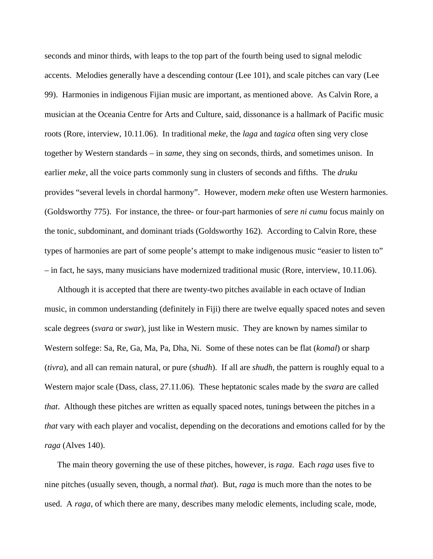seconds and minor thirds, with leaps to the top part of the fourth being used to signal melodic accents. Melodies generally have a descending contour (Lee 101), and scale pitches can vary (Lee 99). Harmonies in indigenous Fijian music are important, as mentioned above. As Calvin Rore, a musician at the Oceania Centre for Arts and Culture, said, dissonance is a hallmark of Pacific music roots (Rore, interview, 10.11.06). In traditional *meke*, the *laga* and *tagica* often sing very close together by Western standards – in *same*, they sing on seconds, thirds, and sometimes unison. In earlier *meke*, all the voice parts commonly sung in clusters of seconds and fifths. The *druku* provides "several levels in chordal harmony". However, modern *meke* often use Western harmonies. (Goldsworthy 775). For instance, the three- or four-part harmonies of *sere ni cumu* focus mainly on the tonic, subdominant, and dominant triads (Goldsworthy 162). According to Calvin Rore, these types of harmonies are part of some people's attempt to make indigenous music "easier to listen to" – in fact, he says, many musicians have modernized traditional music (Rore, interview, 10.11.06).

Although it is accepted that there are twenty-two pitches available in each octave of Indian music, in common understanding (definitely in Fiji) there are twelve equally spaced notes and seven scale degrees (*svara* or *swar*), just like in Western music. They are known by names similar to Western solfege: Sa, Re, Ga, Ma, Pa, Dha, Ni. Some of these notes can be flat (*komal*) or sharp (*tivra*), and all can remain natural, or pure (*shudh*). If all are *shudh*, the pattern is roughly equal to a Western major scale (Dass, class, 27.11.06). These heptatonic scales made by the *svara* are called *that*. Although these pitches are written as equally spaced notes, tunings between the pitches in a *that* vary with each player and vocalist, depending on the decorations and emotions called for by the *raga* (Alves 140).

The main theory governing the use of these pitches, however, is *raga*. Each *raga* uses five to nine pitches (usually seven, though, a normal *that*). But, *raga* is much more than the notes to be used. A *raga*, of which there are many, describes many melodic elements, including scale, mode,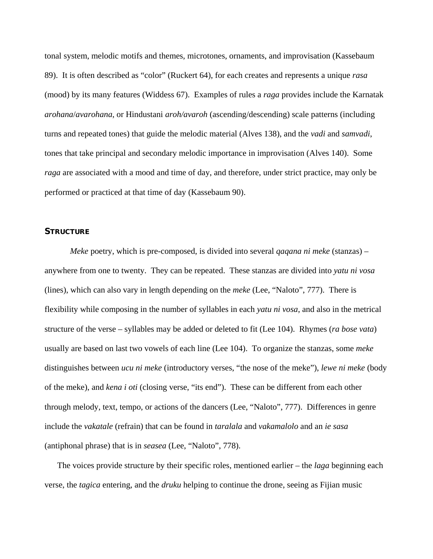tonal system, melodic motifs and themes, microtones, ornaments, and improvisation (Kassebaum 89). It is often described as "color" (Ruckert 64), for each creates and represents a unique *rasa* (mood) by its many features (Widdess 67). Examples of rules a *raga* provides include the Karnatak *arohana*/*avarohana*, or Hindustani *aroh/avaroh* (ascending/descending) scale patterns (including turns and repeated tones) that guide the melodic material (Alves 138), and the *vadi* and *samvadi*, tones that take principal and secondary melodic importance in improvisation (Alves 140). Some *raga* are associated with a mood and time of day, and therefore, under strict practice, may only be performed or practiced at that time of day (Kassebaum 90).

#### **STRUCTURE**

*Meke* poetry, which is pre-composed, is divided into several *qaqana ni meke* (stanzas) – anywhere from one to twenty. They can be repeated. These stanzas are divided into *yatu ni vosa* (lines), which can also vary in length depending on the *meke* (Lee, "Naloto", 777). There is flexibility while composing in the number of syllables in each *yatu ni vosa*, and also in the metrical structure of the verse – syllables may be added or deleted to fit (Lee 104). Rhymes (*ra bose vata*) usually are based on last two vowels of each line (Lee 104). To organize the stanzas, some *meke* distinguishes between *ucu ni meke* (introductory verses, "the nose of the meke"), *lewe ni meke* (body of the meke), and *kena i oti* (closing verse, "its end"). These can be different from each other through melody, text, tempo, or actions of the dancers (Lee, "Naloto", 777). Differences in genre include the *vakatale* (refrain) that can be found in *taralala* and *vakamalolo* and an *ie sasa* (antiphonal phrase) that is in *seasea* (Lee, "Naloto", 778).

The voices provide structure by their specific roles, mentioned earlier – the *laga* beginning each verse, the *tagica* entering, and the *druku* helping to continue the drone, seeing as Fijian music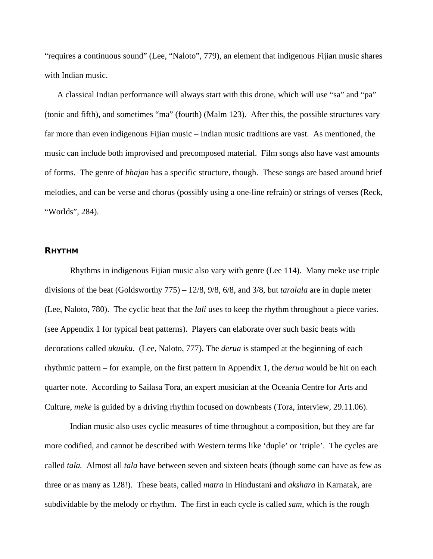"requires a continuous sound" (Lee, "Naloto", 779), an element that indigenous Fijian music shares with Indian music.

A classical Indian performance will always start with this drone, which will use "sa" and "pa" (tonic and fifth), and sometimes "ma" (fourth) (Malm 123). After this, the possible structures vary far more than even indigenous Fijian music – Indian music traditions are vast. As mentioned, the music can include both improvised and precomposed material. Film songs also have vast amounts of forms. The genre of *bhajan* has a specific structure, though. These songs are based around brief melodies, and can be verse and chorus (possibly using a one-line refrain) or strings of verses (Reck, "Worlds", 284).

#### **RHYTHM**

 Rhythms in indigenous Fijian music also vary with genre (Lee 114). Many meke use triple divisions of the beat (Goldsworthy 775) – 12/8, 9/8, 6/8, and 3/8, but *taralala* are in duple meter (Lee, Naloto, 780). The cyclic beat that the *lali* uses to keep the rhythm throughout a piece varies. (see Appendix 1 for typical beat patterns). Players can elaborate over such basic beats with decorations called *ukuuku*. (Lee, Naloto, 777). The *derua* is stamped at the beginning of each rhythmic pattern – for example, on the first pattern in Appendix 1, the *derua* would be hit on each quarter note. According to Sailasa Tora, an expert musician at the Oceania Centre for Arts and Culture, *meke* is guided by a driving rhythm focused on downbeats (Tora, interview, 29.11.06).

 Indian music also uses cyclic measures of time throughout a composition, but they are far more codified, and cannot be described with Western terms like 'duple' or 'triple'. The cycles are called *tala.* Almost all *tala* have between seven and sixteen beats (though some can have as few as three or as many as 128!). These beats, called *matra* in Hindustani and *akshara* in Karnatak, are subdividable by the melody or rhythm. The first in each cycle is called *sam*, which is the rough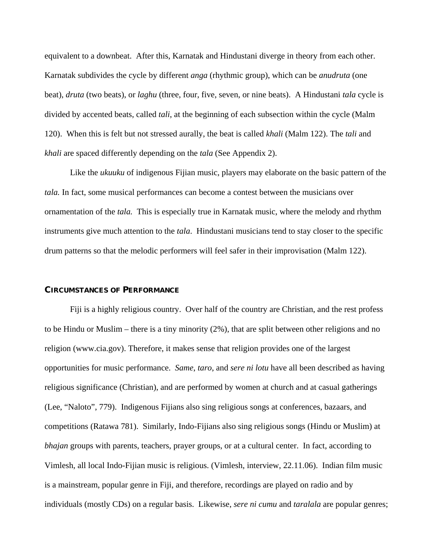equivalent to a downbeat. After this, Karnatak and Hindustani diverge in theory from each other. Karnatak subdivides the cycle by different *anga* (rhythmic group), which can be *anudruta* (one beat), *druta* (two beats), or *laghu* (three, four, five, seven, or nine beats). A Hindustani *tala* cycle is divided by accented beats, called *tali*, at the beginning of each subsection within the cycle (Malm 120). When this is felt but not stressed aurally, the beat is called *khali* (Malm 122). The *tali* and *khali* are spaced differently depending on the *tala* (See Appendix 2).

Like the *ukuuku* of indigenous Fijian music, players may elaborate on the basic pattern of the *tala.* In fact, some musical performances can become a contest between the musicians over ornamentation of the *tala.* This is especially true in Karnatak music, where the melody and rhythm instruments give much attention to the *tala*. Hindustani musicians tend to stay closer to the specific drum patterns so that the melodic performers will feel safer in their improvisation (Malm 122).

#### **CIRCUMSTANCES OF PERFORMANCE**

Fiji is a highly religious country. Over half of the country are Christian, and the rest profess to be Hindu or Muslim – there is a tiny minority (2%), that are split between other religions and no religion (www.cia.gov). Therefore, it makes sense that religion provides one of the largest opportunities for music performance. *Same*, *taro*, and *sere ni lotu* have all been described as having religious significance (Christian), and are performed by women at church and at casual gatherings (Lee, "Naloto", 779). Indigenous Fijians also sing religious songs at conferences, bazaars, and competitions (Ratawa 781). Similarly, Indo-Fijians also sing religious songs (Hindu or Muslim) at *bhajan* groups with parents, teachers, prayer groups, or at a cultural center. In fact, according to Vimlesh, all local Indo-Fijian music is religious. (Vimlesh, interview, 22.11.06). Indian film music is a mainstream, popular genre in Fiji, and therefore, recordings are played on radio and by individuals (mostly CDs) on a regular basis. Likewise, *sere ni cumu* and *taralala* are popular genres;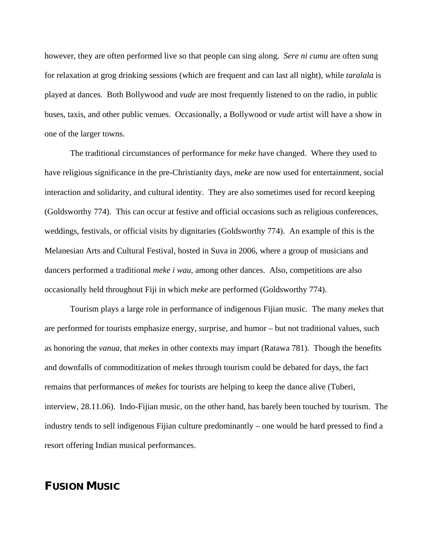however, they are often performed live so that people can sing along. *Sere ni cumu* are often sung for relaxation at grog drinking sessions (which are frequent and can last all night), while *taralala* is played at dances. Both Bollywood and *vude* are most frequently listened to on the radio, in public buses, taxis, and other public venues. Occasionally, a Bollywood or *vude* artist will have a show in one of the larger towns.

The traditional circumstances of performance for *meke* have changed. Where they used to have religious significance in the pre-Christianity days, *meke* are now used for entertainment, social interaction and solidarity, and cultural identity. They are also sometimes used for record keeping (Goldsworthy 774). This can occur at festive and official occasions such as religious conferences, weddings, festivals, or official visits by dignitaries (Goldsworthy 774). An example of this is the Melanesian Arts and Cultural Festival, hosted in Suva in 2006, where a group of musicians and dancers performed a traditional *meke i wau*, among other dances. Also, competitions are also occasionally held throughout Fiji in which *meke* are performed (Goldsworthy 774).

Tourism plays a large role in performance of indigenous Fijian music. The many *mekes* that are performed for tourists emphasize energy, surprise, and humor – but not traditional values, such as honoring the *vanua*, that *mekes* in other contexts may impart (Ratawa 781). Though the benefits and downfalls of commoditization of *mekes* through tourism could be debated for days, the fact remains that performances of *mekes* for tourists are helping to keep the dance alive (Tuberi, interview, 28.11.06). Indo-Fijian music, on the other hand, has barely been touched by tourism. The industry tends to sell indigenous Fijian culture predominantly – one would be hard pressed to find a resort offering Indian musical performances.

## **FUSION MUSIC**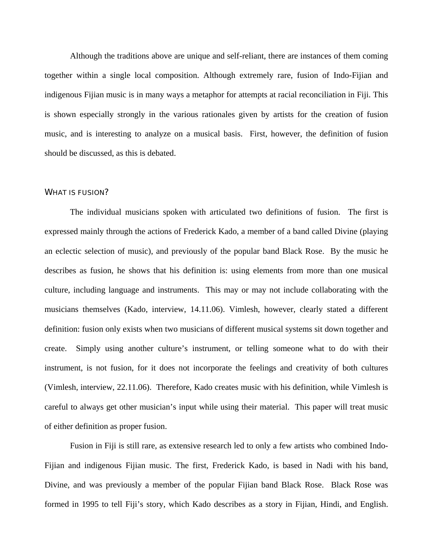Although the traditions above are unique and self-reliant, there are instances of them coming together within a single local composition. Although extremely rare, fusion of Indo-Fijian and indigenous Fijian music is in many ways a metaphor for attempts at racial reconciliation in Fiji. This is shown especially strongly in the various rationales given by artists for the creation of fusion music, and is interesting to analyze on a musical basis. First, however, the definition of fusion should be discussed, as this is debated.

#### WHAT IS FUSION?

The individual musicians spoken with articulated two definitions of fusion. The first is expressed mainly through the actions of Frederick Kado, a member of a band called Divine (playing an eclectic selection of music), and previously of the popular band Black Rose. By the music he describes as fusion, he shows that his definition is: using elements from more than one musical culture, including language and instruments. This may or may not include collaborating with the musicians themselves (Kado, interview, 14.11.06). Vimlesh, however, clearly stated a different definition: fusion only exists when two musicians of different musical systems sit down together and create. Simply using another culture's instrument, or telling someone what to do with their instrument, is not fusion, for it does not incorporate the feelings and creativity of both cultures (Vimlesh, interview, 22.11.06). Therefore, Kado creates music with his definition, while Vimlesh is careful to always get other musician's input while using their material. This paper will treat music of either definition as proper fusion.

Fusion in Fiji is still rare, as extensive research led to only a few artists who combined Indo-Fijian and indigenous Fijian music. The first, Frederick Kado, is based in Nadi with his band, Divine, and was previously a member of the popular Fijian band Black Rose. Black Rose was formed in 1995 to tell Fiji's story, which Kado describes as a story in Fijian, Hindi, and English.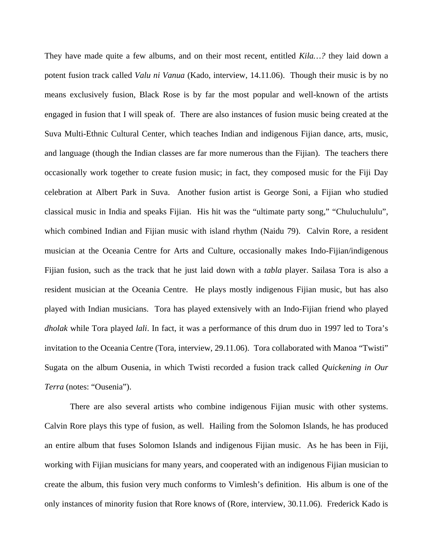They have made quite a few albums, and on their most recent, entitled *Kila…?* they laid down a potent fusion track called *Valu ni Vanua* (Kado, interview, 14.11.06). Though their music is by no means exclusively fusion, Black Rose is by far the most popular and well-known of the artists engaged in fusion that I will speak of. There are also instances of fusion music being created at the Suva Multi-Ethnic Cultural Center, which teaches Indian and indigenous Fijian dance, arts, music, and language (though the Indian classes are far more numerous than the Fijian). The teachers there occasionally work together to create fusion music; in fact, they composed music for the Fiji Day celebration at Albert Park in Suva. Another fusion artist is George Soni, a Fijian who studied classical music in India and speaks Fijian. His hit was the "ultimate party song," "Chuluchululu", which combined Indian and Fijian music with island rhythm (Naidu 79). Calvin Rore, a resident musician at the Oceania Centre for Arts and Culture, occasionally makes Indo-Fijian/indigenous Fijian fusion, such as the track that he just laid down with a *tabla* player. Sailasa Tora is also a resident musician at the Oceania Centre. He plays mostly indigenous Fijian music, but has also played with Indian musicians. Tora has played extensively with an Indo-Fijian friend who played *dholak* while Tora played *lali*. In fact, it was a performance of this drum duo in 1997 led to Tora's invitation to the Oceania Centre (Tora, interview, 29.11.06). Tora collaborated with Manoa "Twisti" Sugata on the album Ousenia, in which Twisti recorded a fusion track called *Quickening in Our Terra* (notes: "Ousenia").

There are also several artists who combine indigenous Fijian music with other systems. Calvin Rore plays this type of fusion, as well. Hailing from the Solomon Islands, he has produced an entire album that fuses Solomon Islands and indigenous Fijian music. As he has been in Fiji, working with Fijian musicians for many years, and cooperated with an indigenous Fijian musician to create the album, this fusion very much conforms to Vimlesh's definition. His album is one of the only instances of minority fusion that Rore knows of (Rore, interview, 30.11.06). Frederick Kado is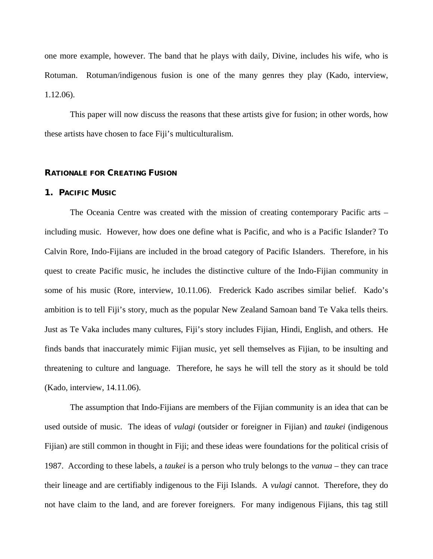one more example, however. The band that he plays with daily, Divine, includes his wife, who is Rotuman. Rotuman/indigenous fusion is one of the many genres they play (Kado, interview, 1.12.06).

This paper will now discuss the reasons that these artists give for fusion; in other words, how these artists have chosen to face Fiji's multiculturalism.

#### **RATIONALE FOR CREATING FUSION**

#### **1. PACIFIC MUSIC**

The Oceania Centre was created with the mission of creating contemporary Pacific arts – including music. However, how does one define what is Pacific, and who is a Pacific Islander? To Calvin Rore, Indo-Fijians are included in the broad category of Pacific Islanders. Therefore, in his quest to create Pacific music, he includes the distinctive culture of the Indo-Fijian community in some of his music (Rore, interview, 10.11.06). Frederick Kado ascribes similar belief. Kado's ambition is to tell Fiji's story, much as the popular New Zealand Samoan band Te Vaka tells theirs. Just as Te Vaka includes many cultures, Fiji's story includes Fijian, Hindi, English, and others. He finds bands that inaccurately mimic Fijian music, yet sell themselves as Fijian, to be insulting and threatening to culture and language. Therefore, he says he will tell the story as it should be told (Kado, interview, 14.11.06).

The assumption that Indo-Fijians are members of the Fijian community is an idea that can be used outside of music. The ideas of *vulagi* (outsider or foreigner in Fijian) and *taukei* (indigenous Fijian) are still common in thought in Fiji; and these ideas were foundations for the political crisis of 1987. According to these labels, a *taukei* is a person who truly belongs to the *vanua* – they can trace their lineage and are certifiably indigenous to the Fiji Islands. A *vulagi* cannot. Therefore, they do not have claim to the land, and are forever foreigners. For many indigenous Fijians, this tag still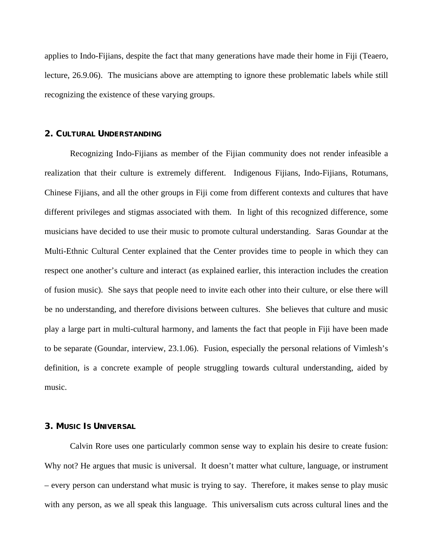applies to Indo-Fijians, despite the fact that many generations have made their home in Fiji (Teaero, lecture, 26.9.06). The musicians above are attempting to ignore these problematic labels while still recognizing the existence of these varying groups.

#### **2. CULTURAL UNDERSTANDING**

 Recognizing Indo-Fijians as member of the Fijian community does not render infeasible a realization that their culture is extremely different. Indigenous Fijians, Indo-Fijians, Rotumans, Chinese Fijians, and all the other groups in Fiji come from different contexts and cultures that have different privileges and stigmas associated with them. In light of this recognized difference, some musicians have decided to use their music to promote cultural understanding. Saras Goundar at the Multi-Ethnic Cultural Center explained that the Center provides time to people in which they can respect one another's culture and interact (as explained earlier, this interaction includes the creation of fusion music). She says that people need to invite each other into their culture, or else there will be no understanding, and therefore divisions between cultures. She believes that culture and music play a large part in multi-cultural harmony, and laments the fact that people in Fiji have been made to be separate (Goundar, interview, 23.1.06). Fusion, especially the personal relations of Vimlesh's definition, is a concrete example of people struggling towards cultural understanding, aided by music.

#### **3. MUSIC IS UNIVERSAL**

 Calvin Rore uses one particularly common sense way to explain his desire to create fusion: Why not? He argues that music is universal. It doesn't matter what culture, language, or instrument – every person can understand what music is trying to say. Therefore, it makes sense to play music with any person, as we all speak this language. This universalism cuts across cultural lines and the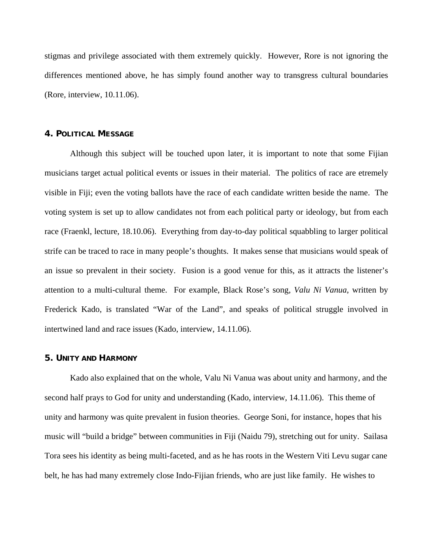stigmas and privilege associated with them extremely quickly. However, Rore is not ignoring the differences mentioned above, he has simply found another way to transgress cultural boundaries (Rore, interview, 10.11.06).

#### **4. POLITICAL MESSAGE**

Although this subject will be touched upon later, it is important to note that some Fijian musicians target actual political events or issues in their material. The politics of race are etremely visible in Fiji; even the voting ballots have the race of each candidate written beside the name. The voting system is set up to allow candidates not from each political party or ideology, but from each race (Fraenkl, lecture, 18.10.06). Everything from day-to-day political squabbling to larger political strife can be traced to race in many people's thoughts. It makes sense that musicians would speak of an issue so prevalent in their society. Fusion is a good venue for this, as it attracts the listener's attention to a multi-cultural theme. For example, Black Rose's song, *Valu Ni Vanua*, written by Frederick Kado, is translated "War of the Land", and speaks of political struggle involved in intertwined land and race issues (Kado, interview, 14.11.06).

#### **5. UNITY AND HARMONY**

 Kado also explained that on the whole, Valu Ni Vanua was about unity and harmony, and the second half prays to God for unity and understanding (Kado, interview, 14.11.06). This theme of unity and harmony was quite prevalent in fusion theories. George Soni, for instance, hopes that his music will "build a bridge" between communities in Fiji (Naidu 79), stretching out for unity. Sailasa Tora sees his identity as being multi-faceted, and as he has roots in the Western Viti Levu sugar cane belt, he has had many extremely close Indo-Fijian friends, who are just like family. He wishes to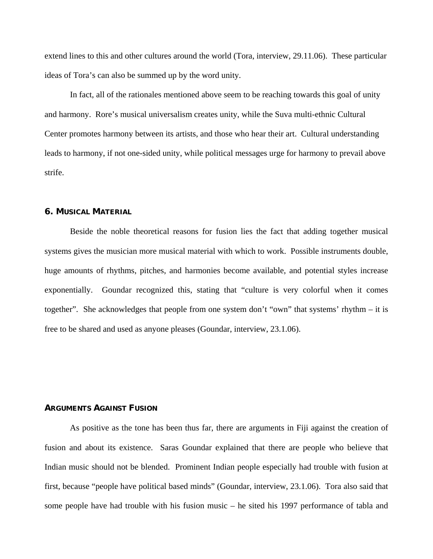extend lines to this and other cultures around the world (Tora, interview, 29.11.06). These particular ideas of Tora's can also be summed up by the word unity.

 In fact, all of the rationales mentioned above seem to be reaching towards this goal of unity and harmony. Rore's musical universalism creates unity, while the Suva multi-ethnic Cultural Center promotes harmony between its artists, and those who hear their art. Cultural understanding leads to harmony, if not one-sided unity, while political messages urge for harmony to prevail above strife.

#### **6. MUSICAL MATERIAL**

 Beside the noble theoretical reasons for fusion lies the fact that adding together musical systems gives the musician more musical material with which to work. Possible instruments double, huge amounts of rhythms, pitches, and harmonies become available, and potential styles increase exponentially. Goundar recognized this, stating that "culture is very colorful when it comes together". She acknowledges that people from one system don't "own" that systems' rhythm – it is free to be shared and used as anyone pleases (Goundar, interview, 23.1.06).

#### **ARGUMENTS AGAINST FUSION**

 As positive as the tone has been thus far, there are arguments in Fiji against the creation of fusion and about its existence. Saras Goundar explained that there are people who believe that Indian music should not be blended. Prominent Indian people especially had trouble with fusion at first, because "people have political based minds" (Goundar, interview, 23.1.06). Tora also said that some people have had trouble with his fusion music – he sited his 1997 performance of tabla and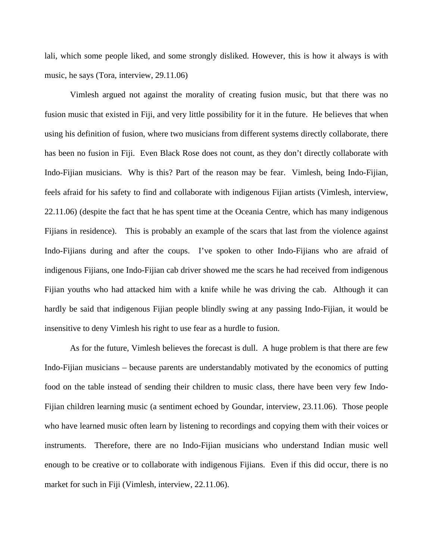lali, which some people liked, and some strongly disliked. However, this is how it always is with music, he says (Tora, interview, 29.11.06)

Vimlesh argued not against the morality of creating fusion music, but that there was no fusion music that existed in Fiji, and very little possibility for it in the future. He believes that when using his definition of fusion, where two musicians from different systems directly collaborate, there has been no fusion in Fiji. Even Black Rose does not count, as they don't directly collaborate with Indo-Fijian musicians. Why is this? Part of the reason may be fear. Vimlesh, being Indo-Fijian, feels afraid for his safety to find and collaborate with indigenous Fijian artists (Vimlesh, interview, 22.11.06) (despite the fact that he has spent time at the Oceania Centre, which has many indigenous Fijians in residence). This is probably an example of the scars that last from the violence against Indo-Fijians during and after the coups. I've spoken to other Indo-Fijians who are afraid of indigenous Fijians, one Indo-Fijian cab driver showed me the scars he had received from indigenous Fijian youths who had attacked him with a knife while he was driving the cab. Although it can hardly be said that indigenous Fijian people blindly swing at any passing Indo-Fijian, it would be insensitive to deny Vimlesh his right to use fear as a hurdle to fusion.

As for the future, Vimlesh believes the forecast is dull. A huge problem is that there are few Indo-Fijian musicians – because parents are understandably motivated by the economics of putting food on the table instead of sending their children to music class, there have been very few Indo-Fijian children learning music (a sentiment echoed by Goundar, interview, 23.11.06). Those people who have learned music often learn by listening to recordings and copying them with their voices or instruments. Therefore, there are no Indo-Fijian musicians who understand Indian music well enough to be creative or to collaborate with indigenous Fijians. Even if this did occur, there is no market for such in Fiji (Vimlesh, interview, 22.11.06).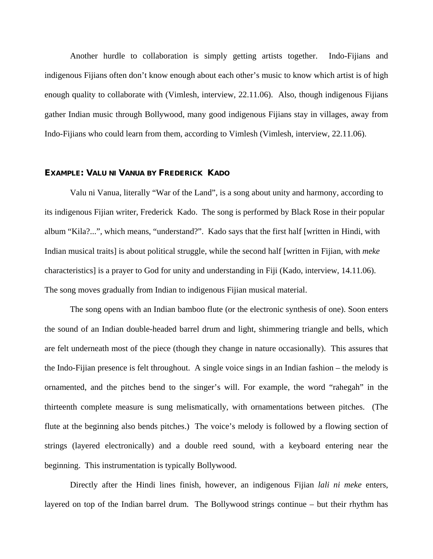Another hurdle to collaboration is simply getting artists together. Indo-Fijians and indigenous Fijians often don't know enough about each other's music to know which artist is of high enough quality to collaborate with (Vimlesh, interview, 22.11.06). Also, though indigenous Fijians gather Indian music through Bollywood, many good indigenous Fijians stay in villages, away from Indo-Fijians who could learn from them, according to Vimlesh (Vimlesh, interview, 22.11.06).

#### **EXAMPLE: VALU NI VANUA BY FREDERICK KADO**

Valu ni Vanua, literally "War of the Land", is a song about unity and harmony, according to its indigenous Fijian writer, Frederick Kado. The song is performed by Black Rose in their popular album "Kila?...", which means, "understand?". Kado says that the first half [written in Hindi, with Indian musical traits] is about political struggle, while the second half [written in Fijian, with *meke* characteristics] is a prayer to God for unity and understanding in Fiji (Kado, interview, 14.11.06). The song moves gradually from Indian to indigenous Fijian musical material.

The song opens with an Indian bamboo flute (or the electronic synthesis of one). Soon enters the sound of an Indian double-headed barrel drum and light, shimmering triangle and bells, which are felt underneath most of the piece (though they change in nature occasionally). This assures that the Indo-Fijian presence is felt throughout. A single voice sings in an Indian fashion – the melody is ornamented, and the pitches bend to the singer's will. For example, the word "rahegah" in the thirteenth complete measure is sung melismatically, with ornamentations between pitches. (The flute at the beginning also bends pitches.) The voice's melody is followed by a flowing section of strings (layered electronically) and a double reed sound, with a keyboard entering near the beginning. This instrumentation is typically Bollywood.

Directly after the Hindi lines finish, however, an indigenous Fijian *lali ni meke* enters, layered on top of the Indian barrel drum. The Bollywood strings continue – but their rhythm has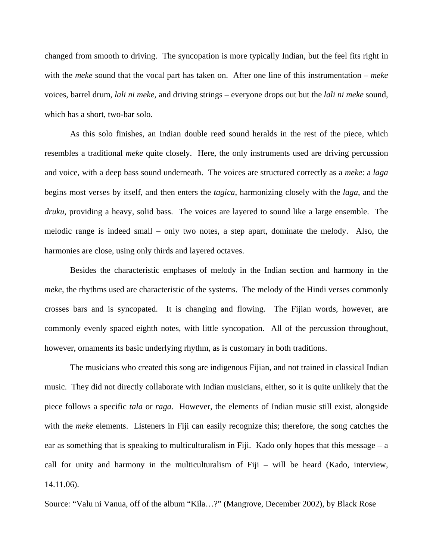changed from smooth to driving. The syncopation is more typically Indian, but the feel fits right in with the *meke* sound that the vocal part has taken on. After one line of this instrumentation – *meke* voices, barrel drum, *lali ni meke,* and driving strings – everyone drops out but the *lali ni meke* sound, which has a short, two-bar solo.

As this solo finishes, an Indian double reed sound heralds in the rest of the piece, which resembles a traditional *meke* quite closely. Here, the only instruments used are driving percussion and voice, with a deep bass sound underneath. The voices are structured correctly as a *meke*: a *laga* begins most verses by itself, and then enters the *tagica*, harmonizing closely with the *laga*, and the *druku*, providing a heavy, solid bass. The voices are layered to sound like a large ensemble. The melodic range is indeed small – only two notes, a step apart, dominate the melody. Also, the harmonies are close, using only thirds and layered octaves.

Besides the characteristic emphases of melody in the Indian section and harmony in the *meke*, the rhythms used are characteristic of the systems. The melody of the Hindi verses commonly crosses bars and is syncopated. It is changing and flowing. The Fijian words, however, are commonly evenly spaced eighth notes, with little syncopation. All of the percussion throughout, however, ornaments its basic underlying rhythm, as is customary in both traditions.

The musicians who created this song are indigenous Fijian, and not trained in classical Indian music. They did not directly collaborate with Indian musicians, either, so it is quite unlikely that the piece follows a specific *tala* or *raga*. However, the elements of Indian music still exist, alongside with the *meke* elements. Listeners in Fiji can easily recognize this; therefore, the song catches the ear as something that is speaking to multiculturalism in Fiji. Kado only hopes that this message  $-a$ call for unity and harmony in the multiculturalism of Fiji – will be heard (Kado, interview, 14.11.06).

Source: "Valu ni Vanua, off of the album "Kila…?" (Mangrove, December 2002), by Black Rose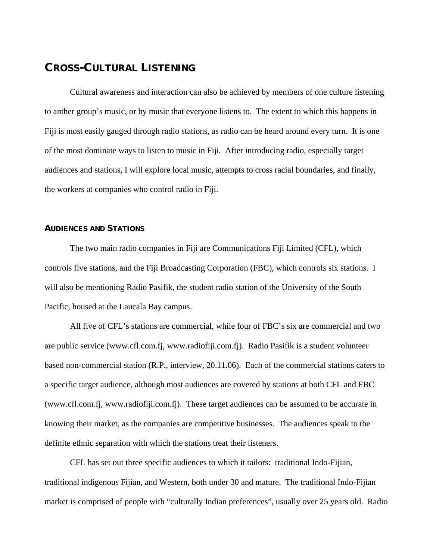## **CROSS-CULTURAL LISTENING**

 Cultural awareness and interaction can also be achieved by members of one culture listening to anther group's music, or by music that everyone listens to. The extent to which this happens in Fiji is most easily gauged through radio stations, as radio can be heard around every turn. It is one of the most dominate ways to listen to music in Fiji. After introducing radio, especially target audiences and stations, I will explore local music, attempts to cross racial boundaries, and finally, the workers at companies who control radio in Fiji.

#### **AUDIENCES AND STATIONS**

 The two main radio companies in Fiji are Communications Fiji Limited (CFL), which controls five stations, and the Fiji Broadcasting Corporation (FBC), which controls six stations. I will also be mentioning Radio Pasifik, the student radio station of the University of the South Pacific, housed at the Laucala Bay campus.

 All five of CFL's stations are commercial, while four of FBC's six are commercial and two are public service (www.cfl.com.fj, www.radiofiji.com.fj). Radio Pasifik is a student volunteer based non-commercial station (R.P., interview, 20.11.06). Each of the commercial stations caters to a specific target audience, although most audiences are covered by stations at both CFL and FBC (www.cfl.com.fj, www.radiofiji.com.fj). These target audiences can be assumed to be accurate in knowing their market, as the companies are competitive businesses. The audiences speak to the definite ethnic separation with which the stations treat their listeners.

 CFL has set out three specific audiences to which it tailors: traditional Indo-Fijian, traditional indigenous Fijian, and Western, both under 30 and mature. The traditional Indo-Fijian market is comprised of people with "culturally Indian preferences", usually over 25 years old. Radio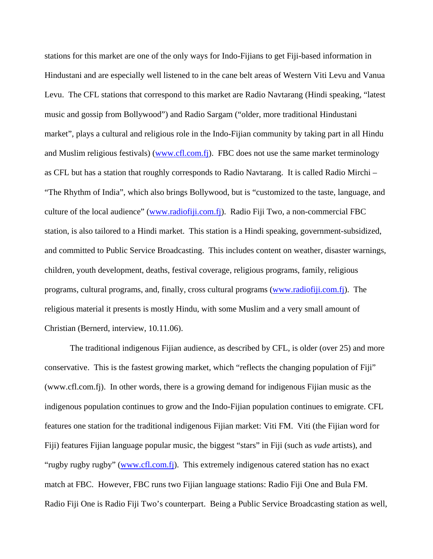stations for this market are one of the only ways for Indo-Fijians to get Fiji-based information in Hindustani and are especially well listened to in the cane belt areas of Western Viti Levu and Vanua Levu. The CFL stations that correspond to this market are Radio Navtarang (Hindi speaking, "latest music and gossip from Bollywood") and Radio Sargam ("older, more traditional Hindustani market", plays a cultural and religious role in the Indo-Fijian community by taking part in all Hindu and Muslim religious festivals) ([www.cfl.com.fj](http://www.cfl.com.fj/)). FBC does not use the same market terminology as CFL but has a station that roughly corresponds to Radio Navtarang. It is called Radio Mirchi – "The Rhythm of India", which also brings Bollywood, but is "customized to the taste, language, and culture of the local audience" [\(www.radiofiji.com.fj\)](http://www.radiofiji.com.fj/). Radio Fiji Two, a non-commercial FBC station, is also tailored to a Hindi market. This station is a Hindi speaking, government-subsidized, and committed to Public Service Broadcasting. This includes content on weather, disaster warnings, children, youth development, deaths, festival coverage, religious programs, family, religious programs, cultural programs, and, finally, cross cultural programs ([www.radiofiji.com.fj](http://www.radiofiji.com.fj/)). The religious material it presents is mostly Hindu, with some Muslim and a very small amount of Christian (Bernerd, interview, 10.11.06).

 The traditional indigenous Fijian audience, as described by CFL, is older (over 25) and more conservative. This is the fastest growing market, which "reflects the changing population of Fiji" (www.cfl.com.fj). In other words, there is a growing demand for indigenous Fijian music as the indigenous population continues to grow and the Indo-Fijian population continues to emigrate. CFL features one station for the traditional indigenous Fijian market: Viti FM. Viti (the Fijian word for Fiji) features Fijian language popular music, the biggest "stars" in Fiji (such as *vude* artists), and "rugby rugby rugby" ([www.cfl.com.fj](http://www.cfl.com.fj/)). This extremely indigenous catered station has no exact match at FBC. However, FBC runs two Fijian language stations: Radio Fiji One and Bula FM. Radio Fiji One is Radio Fiji Two's counterpart. Being a Public Service Broadcasting station as well,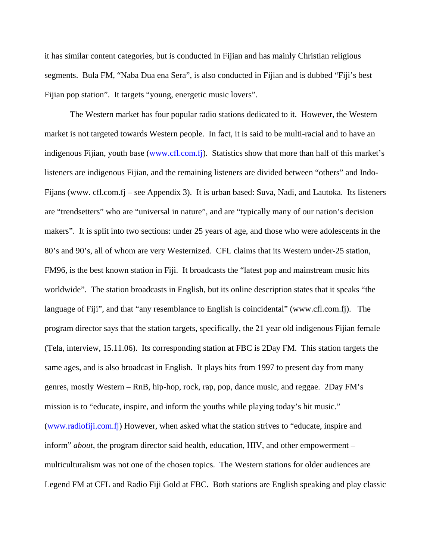it has similar content categories, but is conducted in Fijian and has mainly Christian religious segments. Bula FM, "Naba Dua ena Sera", is also conducted in Fijian and is dubbed "Fiji's best Fijian pop station". It targets "young, energetic music lovers".

 The Western market has four popular radio stations dedicated to it. However, the Western market is not targeted towards Western people. In fact, it is said to be multi-racial and to have an indigenous Fijian, youth base [\(www.cfl.com.fj\)](http://www.cfl.com.fj/). Statistics show that more than half of this market's listeners are indigenous Fijian, and the remaining listeners are divided between "others" and Indo-Fijans (www. cfl.com.fj – see Appendix 3). It is urban based: Suva, Nadi, and Lautoka. Its listeners are "trendsetters" who are "universal in nature", and are "typically many of our nation's decision makers". It is split into two sections: under 25 years of age, and those who were adolescents in the 80's and 90's, all of whom are very Westernized. CFL claims that its Western under-25 station, FM96, is the best known station in Fiji. It broadcasts the "latest pop and mainstream music hits worldwide". The station broadcasts in English, but its online description states that it speaks "the language of Fiji", and that "any resemblance to English is coincidental" (www.cfl.com.fj). The program director says that the station targets, specifically, the 21 year old indigenous Fijian female (Tela, interview, 15.11.06). Its corresponding station at FBC is 2Day FM. This station targets the same ages, and is also broadcast in English. It plays hits from 1997 to present day from many genres, mostly Western – RnB, hip-hop, rock, rap, pop, dance music, and reggae. 2Day FM's mission is to "educate, inspire, and inform the youths while playing today's hit music." ([www.radiofiji.com.fj\)](http://www.radiofiji.com.fj/) However, when asked what the station strives to "educate, inspire and inform" *about*, the program director said health, education, HIV, and other empowerment – multiculturalism was not one of the chosen topics. The Western stations for older audiences are Legend FM at CFL and Radio Fiji Gold at FBC. Both stations are English speaking and play classic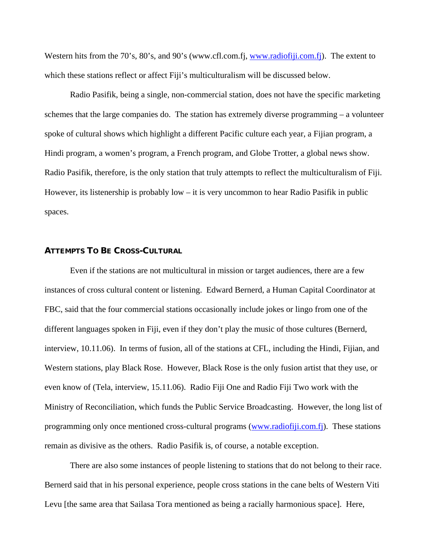Western hits from the 70's, 80's, and 90's (www.cfl.com.fj, [www.radiofiji.com.fj\)](http://www.radiofiji.com.fj/). The extent to which these stations reflect or affect Fiji's multiculturalism will be discussed below.

 Radio Pasifik, being a single, non-commercial station, does not have the specific marketing schemes that the large companies do. The station has extremely diverse programming – a volunteer spoke of cultural shows which highlight a different Pacific culture each year, a Fijian program, a Hindi program, a women's program, a French program, and Globe Trotter, a global news show. Radio Pasifik, therefore, is the only station that truly attempts to reflect the multiculturalism of Fiji. However, its listenership is probably low – it is very uncommon to hear Radio Pasifik in public spaces.

#### **ATTEMPTS TO BE CROSS-CULTURAL**

 Even if the stations are not multicultural in mission or target audiences, there are a few instances of cross cultural content or listening. Edward Bernerd, a Human Capital Coordinator at FBC, said that the four commercial stations occasionally include jokes or lingo from one of the different languages spoken in Fiji, even if they don't play the music of those cultures (Bernerd, interview, 10.11.06). In terms of fusion, all of the stations at CFL, including the Hindi, Fijian, and Western stations, play Black Rose. However, Black Rose is the only fusion artist that they use, or even know of (Tela, interview, 15.11.06). Radio Fiji One and Radio Fiji Two work with the Ministry of Reconciliation, which funds the Public Service Broadcasting. However, the long list of programming only once mentioned cross-cultural programs ([www.radiofiji.com.fj](http://www.radiofiji.com.fj/)). These stations remain as divisive as the others. Radio Pasifik is, of course, a notable exception.

 There are also some instances of people listening to stations that do not belong to their race. Bernerd said that in his personal experience, people cross stations in the cane belts of Western Viti Levu [the same area that Sailasa Tora mentioned as being a racially harmonious space]. Here,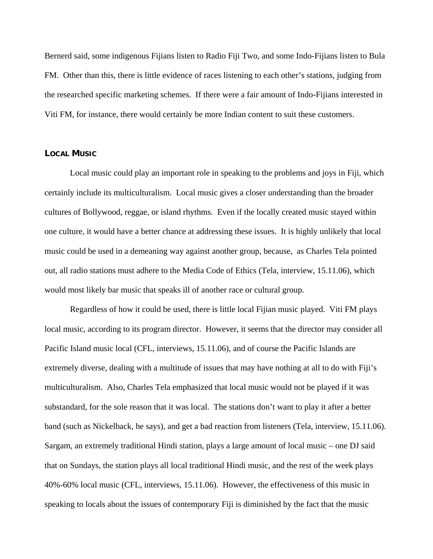Bernerd said, some indigenous Fijians listen to Radio Fiji Two, and some Indo-Fijians listen to Bula FM. Other than this, there is little evidence of races listening to each other's stations, judging from the researched specific marketing schemes. If there were a fair amount of Indo-Fijians interested in Viti FM, for instance, there would certainly be more Indian content to suit these customers.

#### **LOCAL MUSIC**

 Local music could play an important role in speaking to the problems and joys in Fiji, which certainly include its multiculturalism. Local music gives a closer understanding than the broader cultures of Bollywood, reggae, or island rhythms. Even if the locally created music stayed within one culture, it would have a better chance at addressing these issues. It is highly unlikely that local music could be used in a demeaning way against another group, because, as Charles Tela pointed out, all radio stations must adhere to the Media Code of Ethics (Tela, interview, 15.11.06), which would most likely bar music that speaks ill of another race or cultural group.

 Regardless of how it could be used, there is little local Fijian music played. Viti FM plays local music, according to its program director. However, it seems that the director may consider all Pacific Island music local (CFL, interviews, 15.11.06), and of course the Pacific Islands are extremely diverse, dealing with a multitude of issues that may have nothing at all to do with Fiji's multiculturalism. Also, Charles Tela emphasized that local music would not be played if it was substandard, for the sole reason that it was local. The stations don't want to play it after a better band (such as Nickelback, he says), and get a bad reaction from listeners (Tela, interview, 15.11.06). Sargam, an extremely traditional Hindi station, plays a large amount of local music – one DJ said that on Sundays, the station plays all local traditional Hindi music, and the rest of the week plays 40%-60% local music (CFL, interviews, 15.11.06). However, the effectiveness of this music in speaking to locals about the issues of contemporary Fiji is diminished by the fact that the music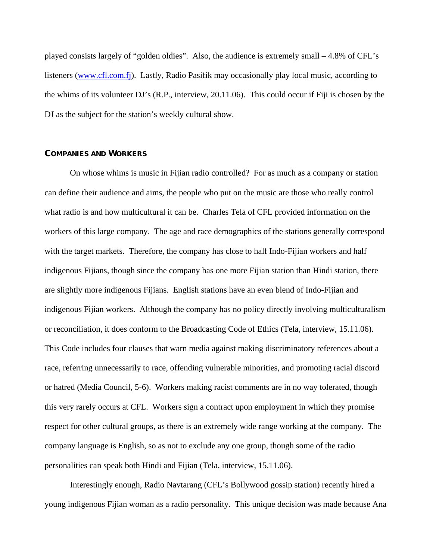played consists largely of "golden oldies". Also, the audience is extremely small – 4.8% of CFL's listeners [\(www.cfl.com.fj\)](http://www.cfl.com.fj/). Lastly, Radio Pasifik may occasionally play local music, according to the whims of its volunteer DJ's (R.P., interview, 20.11.06). This could occur if Fiji is chosen by the DJ as the subject for the station's weekly cultural show.

#### **COMPANIES AND WORKERS**

 On whose whims is music in Fijian radio controlled? For as much as a company or station can define their audience and aims, the people who put on the music are those who really control what radio is and how multicultural it can be. Charles Tela of CFL provided information on the workers of this large company. The age and race demographics of the stations generally correspond with the target markets. Therefore, the company has close to half Indo-Fijian workers and half indigenous Fijians, though since the company has one more Fijian station than Hindi station, there are slightly more indigenous Fijians. English stations have an even blend of Indo-Fijian and indigenous Fijian workers. Although the company has no policy directly involving multiculturalism or reconciliation, it does conform to the Broadcasting Code of Ethics (Tela, interview, 15.11.06). This Code includes four clauses that warn media against making discriminatory references about a race, referring unnecessarily to race, offending vulnerable minorities, and promoting racial discord or hatred (Media Council, 5-6). Workers making racist comments are in no way tolerated, though this very rarely occurs at CFL. Workers sign a contract upon employment in which they promise respect for other cultural groups, as there is an extremely wide range working at the company. The company language is English, so as not to exclude any one group, though some of the radio personalities can speak both Hindi and Fijian (Tela, interview, 15.11.06).

 Interestingly enough, Radio Navtarang (CFL's Bollywood gossip station) recently hired a young indigenous Fijian woman as a radio personality. This unique decision was made because Ana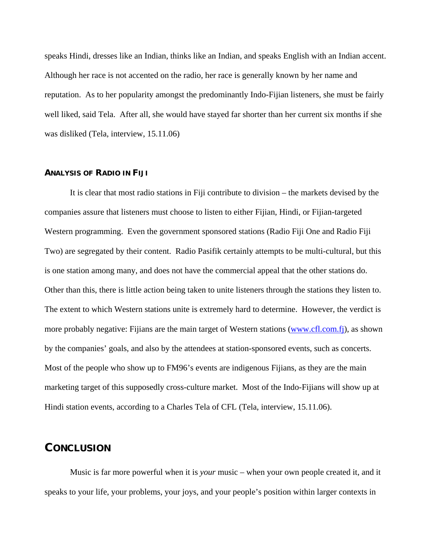speaks Hindi, dresses like an Indian, thinks like an Indian, and speaks English with an Indian accent. Although her race is not accented on the radio, her race is generally known by her name and reputation. As to her popularity amongst the predominantly Indo-Fijian listeners, she must be fairly well liked, said Tela. After all, she would have stayed far shorter than her current six months if she was disliked (Tela, interview, 15.11.06)

#### **ANALYSIS OF RADIO IN FIJI**

 It is clear that most radio stations in Fiji contribute to division – the markets devised by the companies assure that listeners must choose to listen to either Fijian, Hindi, or Fijian-targeted Western programming. Even the government sponsored stations (Radio Fiji One and Radio Fiji Two) are segregated by their content. Radio Pasifik certainly attempts to be multi-cultural, but this is one station among many, and does not have the commercial appeal that the other stations do. Other than this, there is little action being taken to unite listeners through the stations they listen to. The extent to which Western stations unite is extremely hard to determine. However, the verdict is more probably negative: Fijians are the main target of Western stations [\(www.cfl.com.fj\)](http://www.cfl.com.fj/), as shown by the companies' goals, and also by the attendees at station-sponsored events, such as concerts. Most of the people who show up to FM96's events are indigenous Fijians, as they are the main marketing target of this supposedly cross-culture market. Most of the Indo-Fijians will show up at Hindi station events, according to a Charles Tela of CFL (Tela, interview, 15.11.06).

#### **CONCLUSION**

 Music is far more powerful when it is *your* music – when your own people created it, and it speaks to your life, your problems, your joys, and your people's position within larger contexts in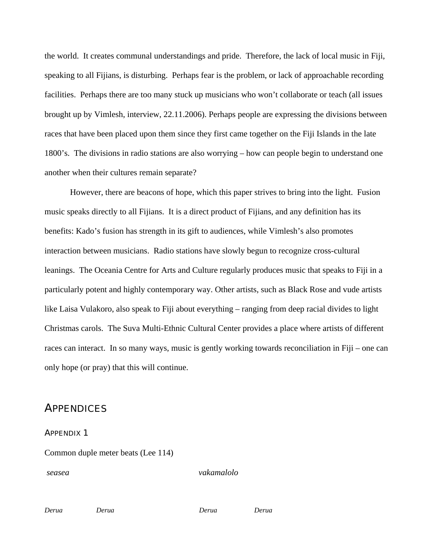the world. It creates communal understandings and pride. Therefore, the lack of local music in Fiji, speaking to all Fijians, is disturbing. Perhaps fear is the problem, or lack of approachable recording facilities. Perhaps there are too many stuck up musicians who won't collaborate or teach (all issues brought up by Vimlesh, interview, 22.11.2006). Perhaps people are expressing the divisions between races that have been placed upon them since they first came together on the Fiji Islands in the late 1800's. The divisions in radio stations are also worrying – how can people begin to understand one another when their cultures remain separate?

However, there are beacons of hope, which this paper strives to bring into the light. Fusion music speaks directly to all Fijians. It is a direct product of Fijians, and any definition has its benefits: Kado's fusion has strength in its gift to audiences, while Vimlesh's also promotes interaction between musicians. Radio stations have slowly begun to recognize cross-cultural leanings. The Oceania Centre for Arts and Culture regularly produces music that speaks to Fiji in a particularly potent and highly contemporary way. Other artists, such as Black Rose and vude artists like Laisa Vulakoro, also speak to Fiji about everything – ranging from deep racial divides to light Christmas carols. The Suva Multi-Ethnic Cultural Center provides a place where artists of different races can interact. In so many ways, music is gently working towards reconciliation in Fiji – one can only hope (or pray) that this will continue.

## **APPENDICES**

#### APPENDIX 1

Common duple meter beats (Lee 114)

*seasea vakamalolo*

*Derua Derua Derua Derua*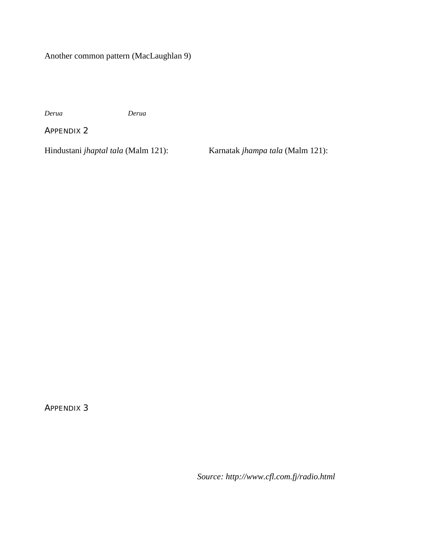Another common pattern (MacLaughlan 9)

*Derua Derua* 

APPENDIX 2

Hindustani *jhaptal tala* (Malm 121): Karnatak *jhampa tala* (Malm 121):

APPENDIX 3

*Source: http://www.cfl.com.fj/radio.html*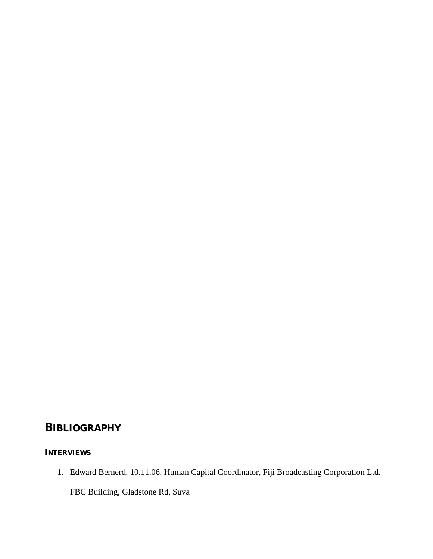## **BIBLIOGRAPHY**

## **INTERVIEWS**

1. Edward Bernerd. 10.11.06. Human Capital Coordinator, Fiji Broadcasting Corporation Ltd. FBC Building, Gladstone Rd, Suva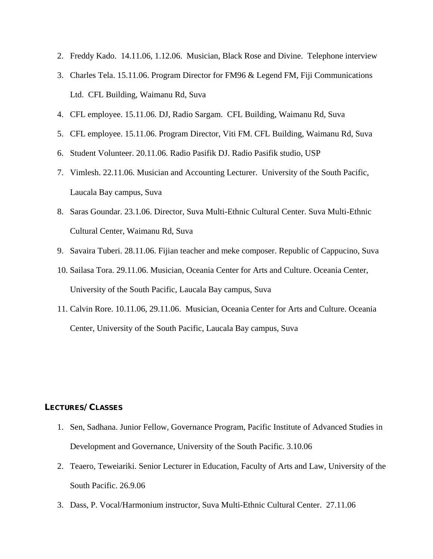- 2. Freddy Kado. 14.11.06, 1.12.06. Musician, Black Rose and Divine. Telephone interview
- 3. Charles Tela. 15.11.06. Program Director for FM96 & Legend FM, Fiji Communications Ltd. CFL Building, Waimanu Rd, Suva
- 4. CFL employee. 15.11.06. DJ, Radio Sargam. CFL Building, Waimanu Rd, Suva
- 5. CFL employee. 15.11.06. Program Director, Viti FM. CFL Building, Waimanu Rd, Suva
- 6. Student Volunteer. 20.11.06. Radio Pasifik DJ. Radio Pasifik studio, USP
- 7. Vimlesh. 22.11.06. Musician and Accounting Lecturer. University of the South Pacific, Laucala Bay campus, Suva
- 8. Saras Goundar. 23.1.06. Director, Suva Multi-Ethnic Cultural Center. Suva Multi-Ethnic Cultural Center, Waimanu Rd, Suva
- 9. Savaira Tuberi. 28.11.06. Fijian teacher and meke composer. Republic of Cappucino, Suva
- 10. Sailasa Tora. 29.11.06. Musician, Oceania Center for Arts and Culture. Oceania Center, University of the South Pacific, Laucala Bay campus, Suva
- 11. Calvin Rore. 10.11.06, 29.11.06. Musician, Oceania Center for Arts and Culture. Oceania Center, University of the South Pacific, Laucala Bay campus, Suva

#### **LECTURES/CLASSES**

- 1. Sen, Sadhana. Junior Fellow, Governance Program, Pacific Institute of Advanced Studies in Development and Governance, University of the South Pacific. 3.10.06
- 2. Teaero, Teweiariki. Senior Lecturer in Education, Faculty of Arts and Law, University of the South Pacific. 26.9.06
- 3. Dass, P. Vocal/Harmonium instructor, Suva Multi-Ethnic Cultural Center. 27.11.06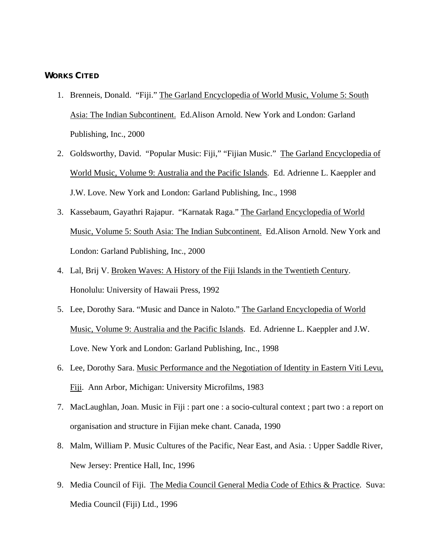#### **WORKS CITED**

- 1. Brenneis, Donald. "Fiji." The Garland Encyclopedia of World Music, Volume 5: South Asia: The Indian Subcontinent. Ed.Alison Arnold. New York and London: Garland Publishing, Inc., 2000
- 2. Goldsworthy, David. "Popular Music: Fiji," "Fijian Music." The Garland Encyclopedia of World Music, Volume 9: Australia and the Pacific Islands. Ed. Adrienne L. Kaeppler and J.W. Love. New York and London: Garland Publishing, Inc., 1998
- 3. Kassebaum, Gayathri Rajapur. "Karnatak Raga." The Garland Encyclopedia of World Music, Volume 5: South Asia: The Indian Subcontinent. Ed.Alison Arnold. New York and London: Garland Publishing, Inc., 2000
- 4. Lal, Brij V. Broken Waves: A History of the Fiji Islands in the Twentieth Century. Honolulu: University of Hawaii Press, 1992
- 5. Lee, Dorothy Sara. "Music and Dance in Naloto." The Garland Encyclopedia of World Music, Volume 9: Australia and the Pacific Islands. Ed. Adrienne L. Kaeppler and J.W. Love. New York and London: Garland Publishing, Inc., 1998
- 6. Lee, Dorothy Sara. Music Performance and the Negotiation of Identity in Eastern Viti Levu, Fiji. Ann Arbor, Michigan: University Microfilms, 1983
- 7. MacLaughlan, Joan. Music in Fiji : part one : a socio-cultural context ; part two : a report on organisation and structure in Fijian meke chant. Canada, 1990
- 8. Malm, William P. Music Cultures of the Pacific, Near East, and Asia. : Upper Saddle River, New Jersey: Prentice Hall, Inc, 1996
- 9. Media Council of Fiji. The Media Council General Media Code of Ethics & Practice. Suva: Media Council (Fiji) Ltd., 1996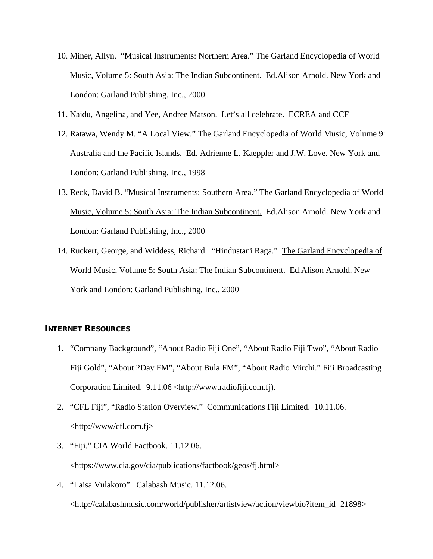- 10. Miner, Allyn. "Musical Instruments: Northern Area." The Garland Encyclopedia of World Music, Volume 5: South Asia: The Indian Subcontinent. Ed.Alison Arnold. New York and London: Garland Publishing, Inc., 2000
- 11. Naidu, Angelina, and Yee, Andree Matson. Let's all celebrate. ECREA and CCF
- 12. Ratawa, Wendy M. "A Local View." The Garland Encyclopedia of World Music, Volume 9: Australia and the Pacific Islands. Ed. Adrienne L. Kaeppler and J.W. Love. New York and London: Garland Publishing, Inc., 1998
- 13. Reck, David B. "Musical Instruments: Southern Area." The Garland Encyclopedia of World Music, Volume 5: South Asia: The Indian Subcontinent. Ed.Alison Arnold. New York and London: Garland Publishing, Inc., 2000
- 14. Ruckert, George, and Widdess, Richard. "Hindustani Raga." The Garland Encyclopedia of World Music, Volume 5: South Asia: The Indian Subcontinent. Ed.Alison Arnold. New York and London: Garland Publishing, Inc., 2000

#### **INTERNET RESOURCES**

- 1. "Company Background", "About Radio Fiji One", "About Radio Fiji Two", "About Radio Fiji Gold", "About 2Day FM", "About Bula FM", "About Radio Mirchi." Fiji Broadcasting Corporation Limited. 9.11.06 <http://www.radiofiji.com.fj).
- 2. "CFL Fiji", "Radio Station Overview." Communications Fiji Limited. 10.11.06. <http://www/cfl.com.fj>
- 3. "Fiji." CIA World Factbook. 11.12.06. <https://www.cia.gov/cia/publications/factbook/geos/fj.html>
- 4. "Laisa Vulakoro". Calabash Music. 11.12.06. <http://calabashmusic.com/world/publisher/artistview/action/viewbio?item\_id=21898>